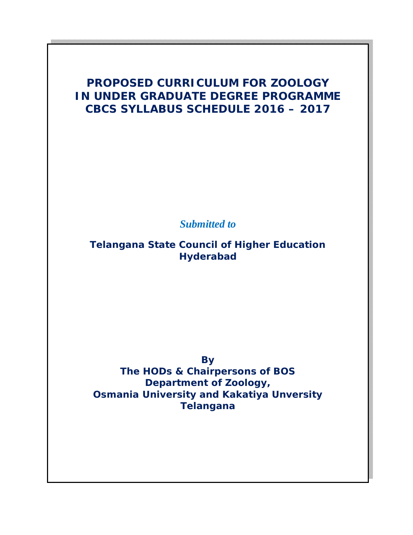# **PROPOSED CURRICULUM FOR ZOOLOGY IN UNDER GRADUATE DEGREE PROGRAMME CBCS SYLLABUS SCHEDULE 2016 – 2017**

*Submitted to*

**Telangana State Council of Higher Education Hyderabad**

> **By The HODs & Chairpersons of BOS**

**Department of Zoology, Osmania University and Kakatiya Unversity Telangana**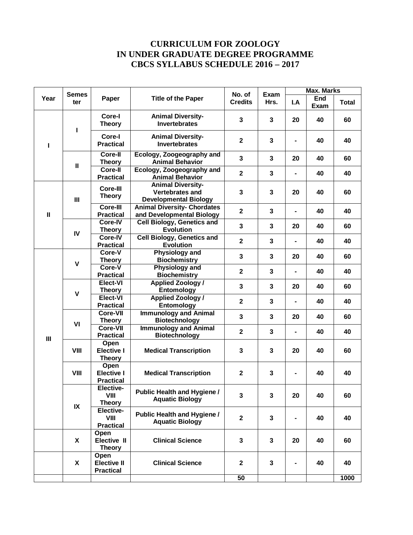## **CURRICULUM FOR ZOOLOGY IN UNDER GRADUATE DEGREE PROGRAMME CBCS SYLLABUS SCHEDULE 2016 – 2017**

|                | <b>Semes</b><br>ter |                                                | No. of                                                                             |                         | <b>Max. Marks</b>       |                |                    |              |
|----------------|---------------------|------------------------------------------------|------------------------------------------------------------------------------------|-------------------------|-------------------------|----------------|--------------------|--------------|
| Year           |                     | Paper                                          | <b>Title of the Paper</b>                                                          | <b>Credits</b>          | Exam<br>Hrs.            | I.A            | <b>End</b><br>Exam | <b>Total</b> |
|                | п                   | Core-I<br><b>Theory</b>                        | <b>Animal Diversity-</b><br><b>Invertebrates</b>                                   | 3                       | $\mathbf{3}$            | 20             | 40                 | 60           |
| L              |                     | Core-I<br><b>Practical</b>                     | <b>Animal Diversity-</b><br><b>Invertebrates</b>                                   | $\overline{\mathbf{2}}$ | $\mathbf 3$             |                | 40                 | 40           |
|                | $\mathbf{I}$        | Core-II<br><b>Theory</b>                       | Ecology, Zoogeography and<br><b>Animal Behavior</b>                                | 3                       | $\mathbf{3}$            | 20             | 40                 | 60           |
|                |                     | Core-II<br><b>Practical</b>                    | Ecology, Zoogeography and<br><b>Animal Behavior</b>                                | $\overline{2}$          | $\overline{\mathbf{3}}$ |                | 40                 | 40           |
|                | Ш                   | Core-III<br><b>Theory</b>                      | <b>Animal Diversity-</b><br><b>Vertebrates and</b><br><b>Developmental Biology</b> | 3                       | $\mathbf{3}$            | 20             | 40                 | 60           |
| $\mathbf{I}$   |                     | Core-III<br><b>Practical</b>                   | <b>Animal Diversity- Chordates</b><br>and Developmental Biology                    | $\mathbf{2}$            | $\mathbf{3}$            | $\blacksquare$ | 40                 | 40           |
|                | IV                  | Core-IV<br><b>Theory</b>                       | <b>Cell Biology, Genetics and</b><br><b>Evolution</b>                              | $\overline{\mathbf{3}}$ | 3                       | 20             | 40                 | 60           |
|                |                     | Core-IV<br><b>Practical</b>                    | <b>Cell Biology, Genetics and</b><br><b>Evolution</b>                              | $\mathbf{2}$            | $\mathbf{3}$            |                | 40                 | 40           |
|                | $\mathbf v$         | Core-V<br><b>Theory</b>                        | <b>Physiology and</b><br><b>Biochemistry</b>                                       | $\overline{\mathbf{3}}$ | $\mathbf{3}$            | 20             | 40                 | 60           |
|                |                     | Core-V<br><b>Practical</b>                     | <b>Physiology and</b><br><b>Biochemistry</b>                                       | $\mathbf{2}$            | 3                       | $\blacksquare$ | 40                 | 40           |
|                | $\mathbf{V}$        | Elect-VI<br><b>Theory</b>                      | <b>Applied Zoology /</b><br>Entomology                                             | 3                       | 3                       | 20             | 40                 | 60           |
|                |                     | Elect-VI<br><b>Practical</b>                   | <b>Applied Zoology /</b><br>Entomology                                             | $\overline{2}$          | $\mathbf{3}$            |                | 40                 | 40           |
|                | VI                  | <b>Core-VII</b><br><b>Theory</b>               | <b>Immunology and Animal</b><br><b>Biotechnology</b>                               | 3                       | $\mathbf{3}$            | 20             | 40                 | 60           |
| $\mathbf{III}$ |                     | <b>Core-VII</b><br><b>Practical</b>            | <b>Immunology and Animal</b><br><b>Biotechnology</b>                               | $\mathbf{2}$            | $\mathbf{3}$            | $\blacksquare$ | 40                 | 40           |
|                | VIII                | Open<br><b>Elective I</b><br><b>Theory</b>     | <b>Medical Transcription</b>                                                       | 3                       | 3                       | 20             | 40                 | 60           |
|                | VIII                | Open<br><b>Elective I</b><br><b>Practical</b>  | <b>Medical Transcription</b>                                                       | $\mathbf{2}$            | $\mathbf{3}$            |                | 40                 | 40           |
|                | IX                  | Elective-<br>VIII<br><b>Theory</b>             | <b>Public Health and Hygiene /</b><br><b>Aquatic Biology</b>                       | 3                       | $\mathbf{3}$            | 20             | 40                 | 60           |
|                |                     | Elective-<br>VIII<br><b>Practical</b>          | <b>Public Health and Hygiene /</b><br><b>Aquatic Biology</b>                       | $\mathbf{2}$            | $\mathbf{3}$            |                | 40                 | 40           |
|                | X                   | Open<br>Elective II<br><b>Theory</b>           | <b>Clinical Science</b>                                                            | 3                       | 3                       | 20             | 40                 | 60           |
|                | X                   | Open<br><b>Elective II</b><br><b>Practical</b> | <b>Clinical Science</b>                                                            | $\mathbf{2}$            | 3                       |                | 40                 | 40           |
|                |                     |                                                |                                                                                    | 50                      |                         |                |                    | 1000         |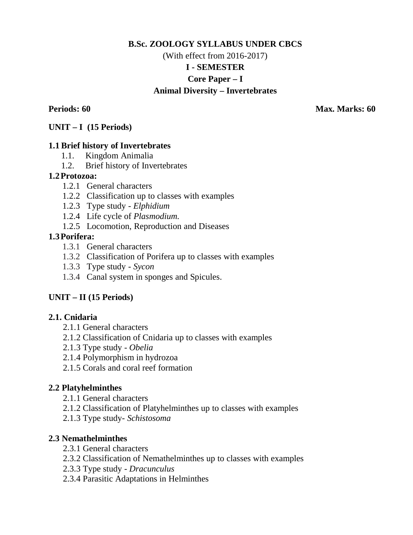# **B.Sc. ZOOLOGY SYLLABUS UNDER CBCS** (With effect from 2016-2017) **I - SEMESTER Core Paper – I Animal Diversity – Invertebrates**

**Periods: 60 Max. Marks: 60** 

### **UNIT – I (15 Periods)**

### **1.1 Brief history of Invertebrates**

- 1.1. Kingdom Animalia
- 1.2. Brief history of Invertebrates

### **1.2Protozoa:**

- 1.2.1 General characters
- 1.2.2 Classification up to classes with examples
- 1.2.3 Type study *Elphidium*
- 1.2.4 Life cycle of *Plasmodium.*
- 1.2.5 Locomotion, Reproduction and Diseases

### **1.3Porifera:**

- 1.3.1 General characters
- 1.3.2 Classification of Porifera up to classes with examples
- 1.3.3 Type study *Sycon*
- 1.3.4 Canal system in sponges and Spicules.

## **UNIT – II (15 Periods)**

## **2.1. Cnidaria**

- 2.1.1 General characters
- 2.1.2 Classification of Cnidaria up to classes with examples
- 2.1.3 Type study *Obelia*
- 2.1.4 Polymorphism in hydrozoa
- 2.1.5 Corals and coral reef formation

## **2.2 Platyhelminthes**

- 2.1.1 General characters
- 2.1.2 Classification of Platyhelminthes up to classes with examples
- 2.1.3 Type study- *Schistosoma*

## **2.3 Nemathelminthes**

- 2.3.1 General characters
- 2.3.2 Classification of Nemathelminthes up to classes with examples
- 2.3.3 Type study *Dracunculus*
- 2.3.4 Parasitic Adaptations in Helminthes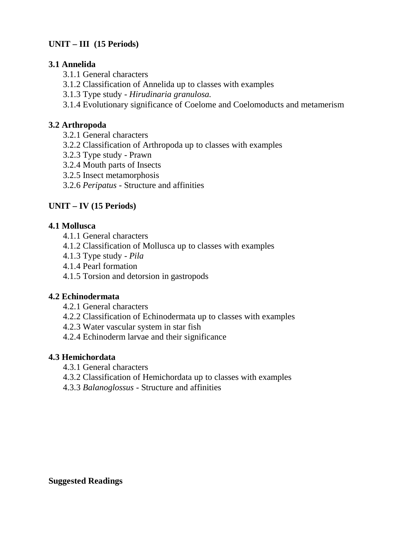# **UNIT – III (15 Periods)**

## **3.1 Annelida**

- 3.1.1 General characters
- 3.1.2 Classification of Annelida up to classes with examples
- 3.1.3 Type study *Hirudinaria granulosa.*
- 3.1.4 Evolutionary significance of Coelome and Coelomoducts and metamerism

# **3.2 Arthropoda**

- 3.2.1 General characters
- 3.2.2 Classification of Arthropoda up to classes with examples
- 3.2.3 Type study Prawn
- 3.2.4 Mouth parts of Insects
- 3.2.5 Insect metamorphosis
- 3.2.6 *Peripatus*  Structure and affinities

# **UNIT – IV (15 Periods)**

## **4.1 Mollusca**

- 4.1.1 General characters
- 4.1.2 Classification of Mollusca up to classes with examples
- 4.1.3 Type study *- Pila*
- 4.1.4 Pearl formation
- 4.1.5 Torsion and detorsion in gastropods

## **4.2 Echinodermata**

- 4.2.1 General characters
- 4.2.2 Classification of Echinodermata up to classes with examples
- 4.2.3 Water vascular system in star fish
- 4.2.4 Echinoderm larvae and their significance

## **4.3 Hemichordata**

- 4.3.1 General characters
- 4.3.2 Classification of Hemichordata up to classes with examples
- 4.3.3 *Balanoglossus*  Structure and affinities

### **Suggested Readings**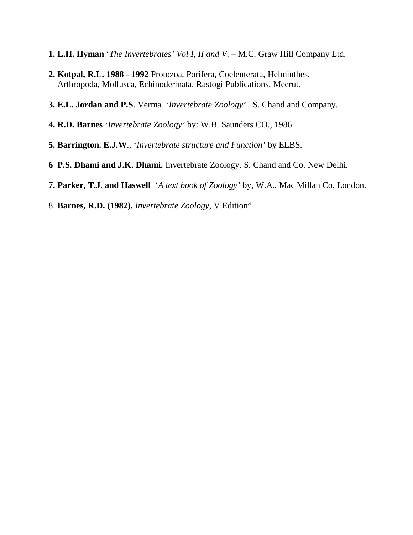- **1. L.H. Hyman** '*The Invertebrates' Vol I, II and V*. M.C. Graw Hill Company Ltd.
- **2. Kotpal, R.L. 1988 - 1992** Protozoa, Porifera, Coelenterata, Helminthes, Arthropoda, Mollusca, Echinodermata. Rastogi Publications, Meerut.
- **3. E.L. Jordan and P.S**. Verma '*Invertebrate Zoology'* S. Chand and Company.
- **4. R.D. Barnes** '*Invertebrate Zoology'* by: W.B. Saunders CO., 1986.
- **5. Barrington. E.J.W**., '*Invertebrate structure and Function'* by ELBS.
- **6 P.S. Dhami and J.K. Dhami.** Invertebrate Zoology. S. Chand and Co. New Delhi.
- **7. Parker, T.J. and Haswell** '*A text book of Zoology'* by, W.A., Mac Millan Co. London.
- 8. **Barnes, R.D. (1982).** *Invertebrate Zoology*, V Edition"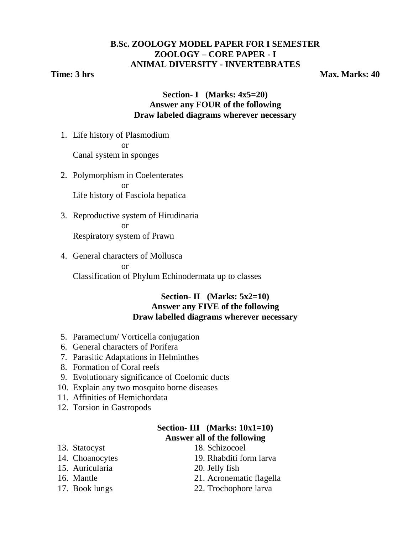# **B.Sc. ZOOLOGY MODEL PAPER FOR I SEMESTER ZOOLOGY – CORE PAPER - I ANIMAL DIVERSITY - INVERTEBRATES**

**Time: 3 hrs** Max. Marks: 40

## **Section- I (Marks: 4x5=20) Answer any FOUR of the following Draw labeled diagrams wherever necessary**

- 1. Life history of Plasmodium or Canal system in sponges
	- 2. Polymorphism in Coelenterates or Life history of Fasciola hepatica
	- 3. Reproductive system of Hirudinaria or Respiratory system of Prawn
	- 4. General characters of Mollusca or

Classification of Phylum Echinodermata up to classes

### **Section- II (Marks: 5x2=10) Answer any FIVE of the following Draw labelled diagrams wherever necessary**

- 5. Paramecium/ Vorticella conjugation
- 6. General characters of Porifera
- 7. Parasitic Adaptations in Helminthes
- 8. Formation of Coral reefs
- 9. Evolutionary significance of Coelomic ducts
- 10. Explain any two mosquito borne diseases
- 11. Affinities of Hemichordata
- 12. Torsion in Gastropods

## **Section- III (Marks: 10x1=10) Answer all of the following**

- 
- 
- 15. Auricularia 20. Jelly fish
- 
- 
- 13. Statocyst 18. Schizocoel
- 14. Choanocytes 19. Rhabditi form larva
	-
- 16. Mantle 21. Acronematic flagella
- 17. Book lungs 22. Trochophore larva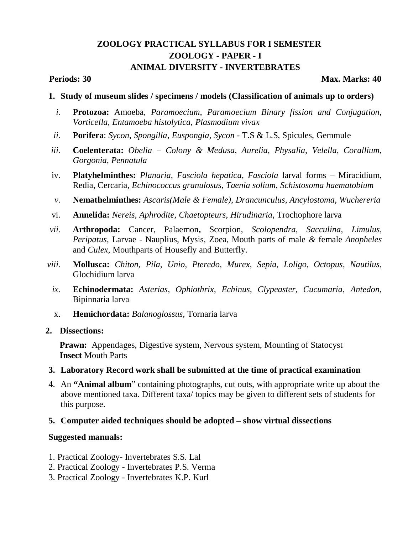# **ZOOLOGY PRACTICAL SYLLABUS FOR I SEMESTER ZOOLOGY - PAPER - I ANIMAL DIVERSITY - INVERTEBRATES**

### **Periods: 30 Max. Marks: 40 Max. Marks: 40 Max. Marks: 40 Max. Marks: 40**

- **1. Study of museum slides / specimens / models (Classification of animals up to orders)**
	- *i.* **Protozoa:** Amoeba*, Paramoecium, Paramoecium Binary fission and Conjugation, Vorticella, Entamoeba histolytica, Plasmodium vivax*
- *ii.* **Porifera**: *Sycon, Spongilla, Euspongia, Sycon*  T.S & L.S, Spicules, Gemmule
- *iii.* **Coelenterata:** *Obelia – Colony & Medusa, Aurelia, Physalia, Velella, Corallium, Gorgonia, Pennatula*
- iv. **Platyhelminthes:** *Planaria, Fasciola hepatica, Fasciola* larval forms Miracidium, Redia, Cercaria, *Echinococcus granulosus, Taenia solium, Schistosoma haematobium*
- *v.* **Nemathelminthes:** *Ascaris(Male & Female), Drancunculus, Ancylostoma, Wuchereria*
- vi. **Annelida:** *Nereis, Aphrodite, Chaetopteurs, Hirudinaria,* Trochophore larva
- *vii.* **Arthropoda:** Cancer, Palaemon**,** Scorpion, *Scolopendra, Sacculina, Limulus, Peripatus,* Larvae - Nauplius, Mysis, Zoea, Mouth parts of male *&* female *Anopheles*  and *Culex,* Mouthparts of Housefly and Butterfly.
- *viii.* **Mollusca:** *Chiton, Pila, Unio, Pteredo, Murex, Sepia, Loligo, Octopus, Nautilus,*  Glochidium larva
	- *ix.* **Echinodermata:** *Asterias, Ophiothrix, Echinus, Clypeaster, Cucumaria, Antedon,*  Bipinnaria larva
	- x. **Hemichordata:** *Balanoglossus,* Tornaria larva

### **2. Dissections:**

**Prawn:** Appendages, Digestive system, Nervous system, Mounting of Statocyst **Insect** Mouth Parts

### **3. Laboratory Record work shall be submitted at the time of practical examination**

4. An **"Animal album**" containing photographs, cut outs, with appropriate write up about the above mentioned taxa. Different taxa/ topics may be given to different sets of students for this purpose.

### **5. Computer aided techniques should be adopted – show virtual dissections**

### **Suggested manuals:**

- 1. Practical Zoology- Invertebrates S.S. Lal
- 2. Practical Zoology Invertebrates P.S. Verma
- 3. Practical Zoology Invertebrates K.P. Kurl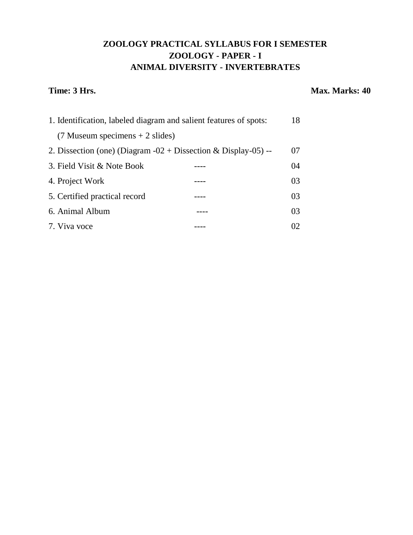# **ZOOLOGY PRACTICAL SYLLABUS FOR I SEMESTER ZOOLOGY - PAPER - I ANIMAL DIVERSITY - INVERTEBRATES**

### **Time: 3 Hrs.** Max. Marks: 40

| 1. Identification, labeled diagram and salient features of spots: |  | 18 |
|-------------------------------------------------------------------|--|----|
| $(7$ Museum specimens $+ 2$ slides)                               |  |    |
| 2. Dissection (one) (Diagram $-02 +$ Dissection & Display-05) --  |  | 07 |
| 3. Field Visit & Note Book                                        |  | 04 |
| 4. Project Work                                                   |  | 03 |
| 5. Certified practical record                                     |  | 03 |
| 6. Animal Album                                                   |  | 03 |
| 7. Viva voce                                                      |  | 02 |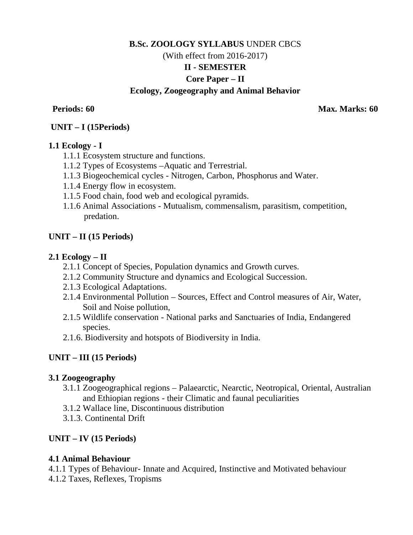# **B.Sc. ZOOLOGY SYLLABUS** UNDER CBCS (With effect from 2016-2017) **II - SEMESTER Core Paper – II Ecology, Zoogeography and Animal Behavior**

**Periods: 60 Max. Marks: 60** 

## **UNIT – I (15Periods)**

### **1.1 Ecology - I**

- 1.1.1 Ecosystem structure and functions.
- 1.1.2 Types of Ecosystems –Aquatic and Terrestrial.
- 1.1.3 Biogeochemical cycles Nitrogen, Carbon, Phosphorus and Water.
- 1.1.4 Energy flow in ecosystem.
- 1.1.5 Food chain, food web and ecological pyramids.
- 1.1.6 Animal Associations Mutualism, commensalism, parasitism, competition, predation.

## **UNIT – II (15 Periods)**

### **2.1 Ecology – II**

- 2.1.1 Concept of Species, Population dynamics and Growth curves.
- 2.1.2 Community Structure and dynamics and Ecological Succession.
- 2.1.3 Ecological Adaptations.
- 2.1.4 Environmental Pollution Sources, Effect and Control measures of Air, Water, Soil and Noise pollution,
- 2.1.5 Wildlife conservation National parks and Sanctuaries of India, Endangered species.
- 2.1.6. Biodiversity and hotspots of Biodiversity in India.

## **UNIT – III (15 Periods)**

## **3.1 Zoogeography**

- 3.1.1 Zoogeographical regions Palaearctic, Nearctic, Neotropical, Oriental, Australian and Ethiopian regions - their Climatic and faunal peculiarities
- 3.1.2 Wallace line, Discontinuous distribution
- 3.1.3. Continental Drift

## **UNIT – IV (15 Periods)**

## **4.1 Animal Behaviour**

- 4.1.1 Types of Behaviour- Innate and Acquired, Instinctive and Motivated behaviour
- 4.1.2 Taxes, Reflexes, Tropisms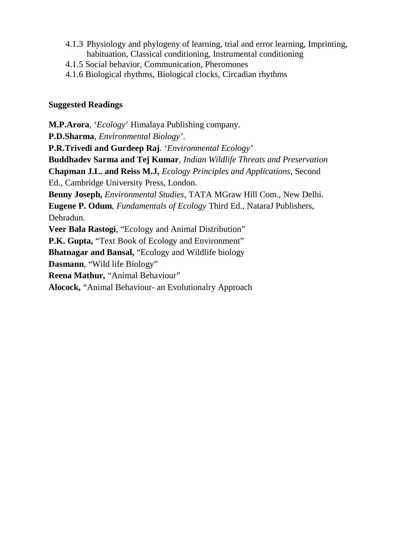- 4.1.3 Physiology and phylogeny of learning, trial and error learning, Imprinting, habituation, Classical conditioning, Instrumental conditioning
- 4.1.5 Social behavior, Communication, Pheromones
- 4.1.6 Biological rhythms, Biological clocks, Circadian rhythms

## **Suggested Readings**

**M.P.Arora**, '*Ecology*' Himalaya Publishing company. **P.D.Sharma**, *Environmental Biology'*. **P.R.Trivedi and Gurdeep Raj**. '*Environmental Ecology'* **Buddhadev Sarma and Tej Kumar**, *Indian Wildlife Threats and Preservation* **Chapman J.L. and Reiss M.J,** *Ecology Principles and Applications*, Second Ed., Cambridge University Press, London. **Benny Joseph,** *Environmental Studies*, TATA MGraw Hill Com., New Delhi. **Eugene P. Odum**, *Fundamentals of Ecology* Third Ed., NataraJ Publishers, Dehradun. **Veer Bala Rastogi**, "Ecology and Animal Distribution" **P.K. Gupta,** "Text Book of Ecology and Environment" **Bhatnagar and Bansal,** "Ecology and Wildlife biology **Dasmann**, "Wild life Biology" **Reena Mathur,** "Animal Behaviour" **Alocock,** "Animal Behaviour- an Evolutionalry Approach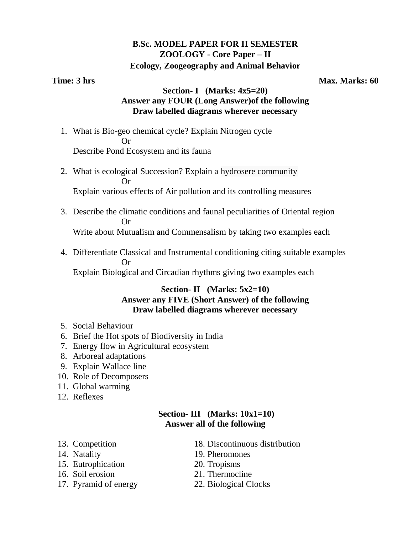## **B.Sc. MODEL PAPER FOR II SEMESTER ZOOLOGY - Core Paper – II Ecology, Zoogeography and Animal Behavior**

**Time: 3 hrs** Max. Marks: 60

## **Section- I (Marks: 4x5=20) Answer any FOUR (Long Answer)of the following Draw labelled diagrams wherever necessary**

- 1. What is Bio-geo chemical cycle? Explain Nitrogen cycle **Or** Or Describe Pond Ecosystem and its fauna
	- 2. What is ecological Succession? Explain a hydrosere community Or Explain various effects of Air pollution and its controlling measures
	- 3. Describe the climatic conditions and faunal peculiarities of Oriental region Or Write about Mutualism and Commensalism by taking two examples each
	- 4. Differentiate Classical and Instrumental conditioning citing suitable examples Or Explain Biological and Circadian rhythms giving two examples each

## **Section- II (Marks: 5x2=10) Answer any FIVE (Short Answer) of the following Draw labelled diagrams wherever necessary**

- 5. Social Behaviour
- 6. Brief the Hot spots of Biodiversity in India
- 7. Energy flow in Agricultural ecosystem
- 8. Arboreal adaptations
- 9. Explain Wallace line
- 10. Role of Decomposers
- 11. Global warming
- 12. Reflexes

## **Section- III (Marks: 10x1=10) Answer all of the following**

- 
- 
- 15. Eutrophication 20. Tropisms
- 
- 17. Pyramid of energy 22. Biological Clocks
- 13. Competition 18. Discontinuous distribution
- 14. Natality 19. Pheromones
	-
- 16. Soil erosion 21. Thermocline
	-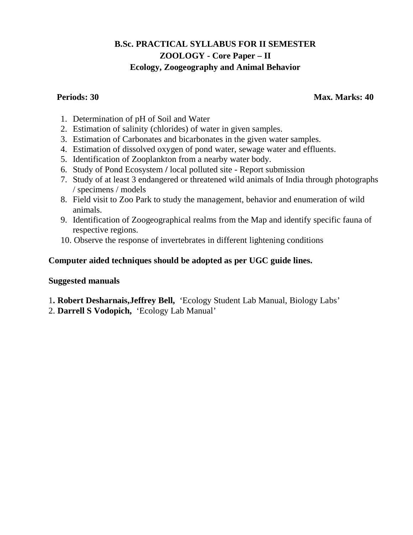# **B.Sc. PRACTICAL SYLLABUS FOR II SEMESTER ZOOLOGY - Core Paper – II Ecology, Zoogeography and Animal Behavior**

**Periods: 30 Max. Marks: 40 Max. Marks: 40 Max. Marks: 40 Max. Marks: 40 Max. Marks: 40 Max. Marks: 40 Max. Marks: 40 Max. Marks: 40 Max. Marks: 40 Max. Marks: 40 Max. Marks: 40 Max. Marks: 40 Max. Marks: 40 Max. Marks: 40** 

- 1. Determination of pH of Soil and Water
- 2. Estimation of salinity (chlorides) of water in given samples.
- 3. Estimation of Carbonates and bicarbonates in the given water samples.
- 4. Estimation of dissolved oxygen of pond water, sewage water and effluents.
- 5. Identification of Zooplankton from a nearby water body.
- 6. Study of Pond Ecosystem **/** local polluted site Report submission
- 7. Study of at least 3 endangered or threatened wild animals of India through photographs / specimens / models
- 8. Field visit to Zoo Park to study the management, behavior and enumeration of wild animals.
- 9. Identification of Zoogeographical realms from the Map and identify specific fauna of respective regions.
- 10. Observe the response of invertebrates in different lightening conditions

## **Computer aided techniques should be adopted as per UGC guide lines.**

### **Suggested manuals**

1**. Robert Desharnais,Jeffrey Bell,** 'Ecology Student Lab Manual, Biology Labs'

2. **Darrell S Vodopich,** 'Ecology Lab Manual'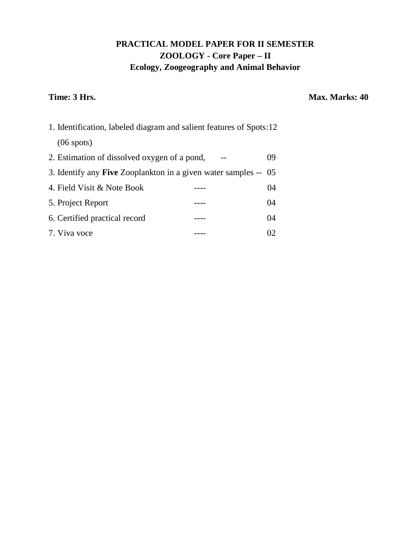# **PRACTICAL MODEL PAPER FOR II SEMESTER ZOOLOGY - Core Paper – II Ecology, Zoogeography and Animal Behavior**

## **Time: 3 Hrs.** Max. Marks: 40

| 1. Identification, labeled diagram and salient features of Spots:12    |    |
|------------------------------------------------------------------------|----|
| $(06 \text{ spots})$                                                   |    |
| 2. Estimation of dissolved oxygen of a pond,                           | 09 |
| 3. Identify any <b>Five</b> Zooplankton in a given water samples -- 05 |    |
| 4. Field Visit & Note Book                                             | 04 |
| 5. Project Report                                                      | 04 |
| 6. Certified practical record                                          | 04 |
| 7. Viva voce                                                           | O2 |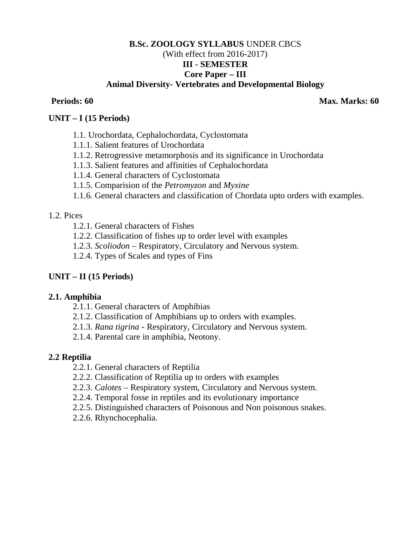## **B.Sc. ZOOLOGY SYLLABUS** UNDER CBCS (With effect from 2016-2017) **III - SEMESTER Core Paper – III Animal Diversity- Vertebrates and Developmental Biology**

**Periods: 60 Max. Marks: 60** 

### **UNIT – I (15 Periods)**

- 1.1. Urochordata, Cephalochordata, Cyclostomata
- 1.1.1. Salient features of Urochordata
- 1.1.2. Retrogressive metamorphosis and its significance in Urochordata
- 1.1.3. Salient features and affinities of Cephalochordata
- 1.1.4. General characters of Cyclostomata
- 1.1.5. Comparision of the *Petromyzon* and *Myxine*
- 1.1.6*.* General characters and classification of Chordata upto orders with examples.

### 1.2. Pices

- 1.2.1. General characters of Fishes
- 1.2.2. Classification of fishes up to order level with examples
- 1.2.3. *Scoliodon*  Respiratory, Circulatory and Nervous system.
- 1.2.4. Types of Scales and types of Fins

## **UNIT – II (15 Periods)**

### **2.1. Amphibia**

- 2.1.1. General characters of Amphibias
- 2.1.2. Classification of Amphibians up to orders with examples.
- 2.1.3. *Rana tigrina* Respiratory, Circulatory and Nervous system.
- 2.1.4. Parental care in amphibia, Neotony.

## **2.2 Reptilia**

- 2.2.1. General characters of Reptilia
- 2.2.2. Classification of Reptilia up to orders with examples
- 2.2.3. *Calotes*  Respiratory system, Circulatory and Nervous system.
- 2.2.4. Temporal fosse in reptiles and its evolutionary importance
- 2.2.5. Distinguished characters of Poisonous and Non poisonous snakes.
- 2.2.6. Rhynchocephalia.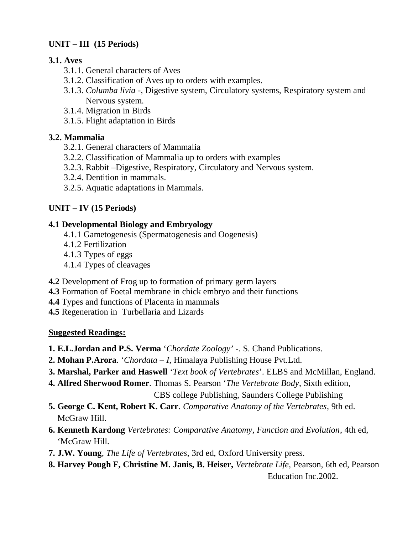# **UNIT – III (15 Periods)**

## **3.1. Aves**

- 3.1.1. General characters of Aves
- 3.1.2. Classification of Aves up to orders with examples.
- 3.1.3. *Columba livia* -, Digestive system, Circulatory systems, Respiratory system and Nervous system.
- 3.1.4. Migration in Birds
- 3.1.5. Flight adaptation in Birds

# **3.2. Mammalia**

- 3.2.1. General characters of Mammalia
- 3.2.2. Classification of Mammalia up to orders with examples
- 3.2.3. Rabbit –Digestive, Respiratory, Circulatory and Nervous system.
- 3.2.4. Dentition in mammals.
- 3.2.5. Aquatic adaptations in Mammals.

# **UNIT – IV (15 Periods)**

## **4.1 Developmental Biology and Embryology**

- 4.1.1 Gametogenesis (Spermatogenesis and Oogenesis)
- 4.1.2 Fertilization
- 4.1.3 Types of eggs
- 4.1.4 Types of cleavages
- **4.2** Development of Frog up to formation of primary germ layers
- **4.3** Formation of Foetal membrane in chick embryo and their functions
- **4.4** Types and functions of Placenta in mammals
- **4.5** Regeneration in Turbellaria and Lizards

## **Suggested Readings:**

- **1. E.L.Jordan and P.S. Verma** '*Chordate Zoology'* -. S. Chand Publications.
- **2. Mohan P.Arora**. '*Chordata – I*, Himalaya Publishing House Pvt.Ltd.
- **3. Marshal, Parker and Haswell** '*Text book of Vertebrates*'. ELBS and McMillan, England.
- **4. Alfred Sherwood Romer**. Thomas S. Pearson '*The Vertebrate Body*, Sixth edition,

CBS college Publishing, Saunders College Publishing

- **5. George C. Kent, Robert K. Carr**. *Comparative Anatomy of the Vertebrates*, 9th ed. McGraw Hill.
- **6. Kenneth Kardong** *Vertebrates: Comparative Anatomy, Function and Evolution*, 4th ed, 'McGraw Hill.
- **7. J.W. Young**, *The Life of Vertebrates*, 3rd ed, Oxford University press.
- **8. Harvey Pough F, Christine M. Janis, B. Heiser,** *Vertebrate Life,* Pearson, 6th ed, Pearson Education Inc.2002.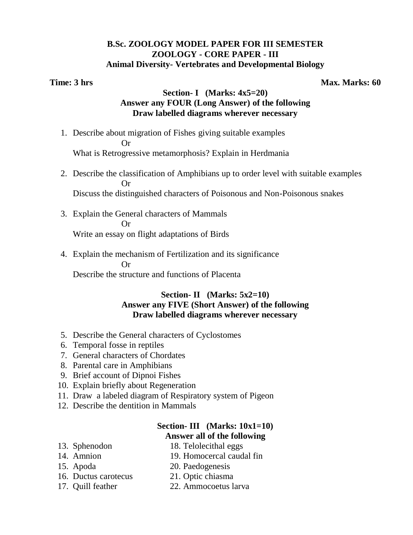### **B.Sc. ZOOLOGY MODEL PAPER FOR III SEMESTER ZOOLOGY - CORE PAPER - III Animal Diversity- Vertebrates and Developmental Biology**

**Time: 3 hrs** Max. Marks: 60

## **Section- I (Marks: 4x5=20) Answer any FOUR (Long Answer) of the following Draw labelled diagrams wherever necessary**

- 1. Describe about migration of Fishes giving suitable examples **Or** Or What is Retrogressive metamorphosis? Explain in Herdmania
	- 2. Describe the classification of Amphibians up to order level with suitable examples Or Discuss the distinguished characters of Poisonous and Non-Poisonous snakes
	- 3. Explain the General characters of Mammals Or Write an essay on flight adaptations of Birds
	- 4. Explain the mechanism of Fertilization and its significance Or

Describe the structure and functions of Placenta

## **Section- II (Marks: 5x2=10) Answer any FIVE (Short Answer) of the following Draw labelled diagrams wherever necessary**

- 5. Describe the General characters of Cyclostomes
- 6. Temporal fosse in reptiles
- 7. General characters of Chordates
- 8. Parental care in Amphibians
- 9. Brief account of Dipnoi Fishes
- 10. Explain briefly about Regeneration
- 11. Draw a labeled diagram of Respiratory system of Pigeon
- 12. Describe the dentition in Mammals

## **Section- III (Marks: 10x1=10) Answer all of the following**

- 13. Sphenodon 18. Telolecithal eggs
- 14. Amnion 19. Homocercal caudal fin
- 
- 15. Apoda 20. Paedogenesis
- 16. Ductus carotecus 21. Optic chiasma
- 
- 17. Quill feather 22. Ammocoetus larva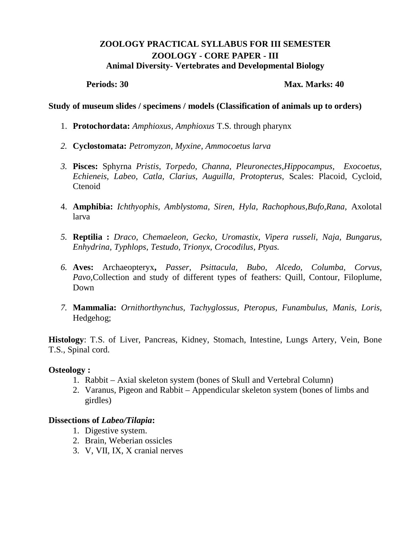## **ZOOLOGY PRACTICAL SYLLABUS FOR III SEMESTER ZOOLOGY - CORE PAPER - III Animal Diversity- Vertebrates and Developmental Biology**

**Periods: 30 Max. Marks: 40 Max. Marks: 40** 

### **Study of museum slides / specimens / models (Classification of animals up to orders)**

- 1. **Protochordata:** *Amphioxus, Amphioxus* T.S. through pharynx
- *2.* **Cyclostomata:** *Petromyzon, Myxine, Ammocoetus larva*
- *3.* **Pisces:** Sphyrna *Pristis, Torpedo, Channa, Pleuronectes,Hippocampus, Exocoetus, Echieneis, Labeo, Catla, Clarius, Auguilla, Protopterus,* Scales: Placoid, Cycloid, Ctenoid
- 4. **Amphibia:** *Ichthyophis, Amblystoma, Siren, Hyla, Rachophous,Bufo,Rana,* Axolotal larva
- *5.* **Reptilia :** *Draco, Chemaeleon, Gecko, Uromastix, Vipera russeli, Naja, Bungarus, Enhydrina, Typhlops, Testudo, Trionyx, Crocodilus, Ptyas.*
- *6.* **Aves:** Archaeopteryx**,** *Passer, Psittacula, Bubo, Alcedo, Columba, Corvus, Pavo*, Collection and study of different types of feathers: Quill, Contour, Filoplume, Down
- *7.* **Mammalia:** *Ornithorthynchus, Tachyglossus, Pteropus, Funambulus, Manis, Loris,*  Hedgehog;

**Histology**: T.S. of Liver, Pancreas, Kidney, Stomach, Intestine, Lungs Artery, Vein, Bone T.S., Spinal cord.

### **Osteology :**

- 1. Rabbit Axial skeleton system (bones of Skull and Vertebral Column)
- 2. Varanus, Pigeon and Rabbit Appendicular skeleton system (bones of limbs and girdles)

### **Dissections of** *Labeo/Tilapia***:**

- 1. Digestive system.
- 2. Brain, Weberian ossicles
- 3. V, VII, IX, X cranial nerves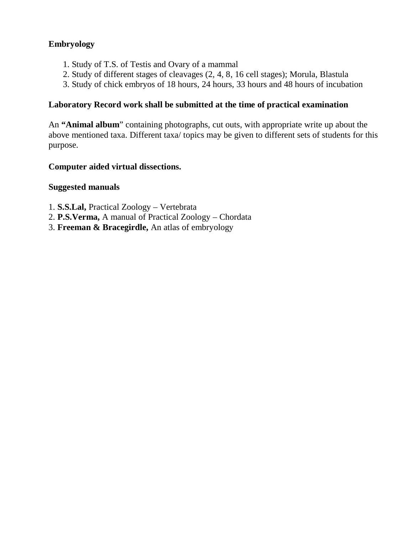## **Embryology**

- 1. Study of T.S. of Testis and Ovary of a mammal
- 2. Study of different stages of cleavages (2, 4, 8, 16 cell stages); Morula, Blastula
- 3. Study of chick embryos of 18 hours, 24 hours, 33 hours and 48 hours of incubation

## **Laboratory Record work shall be submitted at the time of practical examination**

An **"Animal album**" containing photographs, cut outs, with appropriate write up about the above mentioned taxa. Different taxa/ topics may be given to different sets of students for this purpose.

## **Computer aided virtual dissections.**

## **Suggested manuals**

- 1. **S.S.Lal,** Practical Zoology Vertebrata
- 2. **P.S.Verma,** A manual of Practical Zoology Chordata
- 3. **Freeman & Bracegirdle,** An atlas of embryology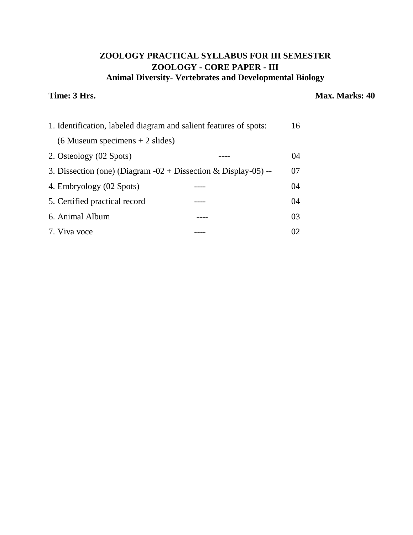# **ZOOLOGY PRACTICAL SYLLABUS FOR III SEMESTER ZOOLOGY - CORE PAPER - III Animal Diversity- Vertebrates and Developmental Biology**

## **Time: 3 Hrs.** Max. Marks: 40

| 1. Identification, labeled diagram and salient features of spots: |  | 16   |
|-------------------------------------------------------------------|--|------|
| $(6$ Museum specimens + 2 slides)                                 |  |      |
| 2. Osteology (02 Spots)                                           |  | (1)4 |
| 3. Dissection (one) (Diagram $-02 +$ Dissection & Display-05) --  |  | 07   |
| 4. Embryology (02 Spots)                                          |  | 04   |
| 5. Certified practical record                                     |  | 04   |
| 6. Animal Album                                                   |  | 03   |
| 7. Viva voce                                                      |  | 02   |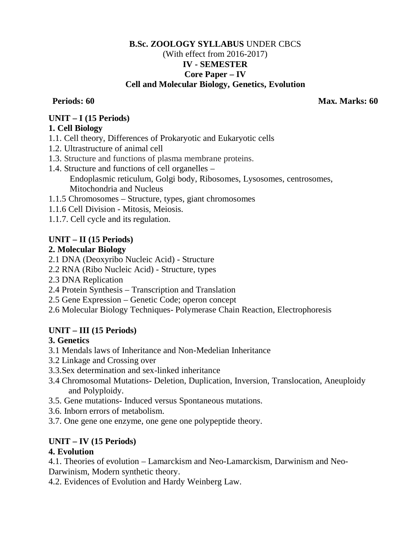## **B.Sc. ZOOLOGY SYLLABUS** UNDER CBCS (With effect from 2016-2017) **IV - SEMESTER Core Paper – IV Cell and Molecular Biology, Genetics, Evolution**

**Periods: 60 Max. Marks: 60** 

## **UNIT – I (15 Periods)**

## **1. Cell Biology**

- 1.1. Cell theory, Differences of Prokaryotic and Eukaryotic cells
- 1.2. Ultrastructure of animal cell
- 1.3. Structure and functions of plasma membrane proteins.
- 1.4. Structure and functions of cell organelles Endoplasmic reticulum, Golgi body, Ribosomes, Lysosomes, centrosomes, Mitochondria and Nucleus
- 1.1.5 Chromosomes Structure, types, giant chromosomes
- 1.1.6 Cell Division Mitosis, Meiosis.
- 1.1.7. Cell cycle and its regulation.

## **UNIT – II (15 Periods)**

## **2. Molecular Biology**

- 2.1 DNA (Deoxyribo Nucleic Acid) Structure
- 2.2 RNA (Ribo Nucleic Acid) Structure, types
- 2.3 DNA Replication
- 2.4 Protein Synthesis Transcription and Translation
- 2.5 Gene Expression Genetic Code; operon concept
- 2.6 Molecular Biology Techniques- Polymerase Chain Reaction, Electrophoresis

## **UNIT – III (15 Periods)**

## **3. Genetics**

- 3.1 Mendals laws of Inheritance and Non-Medelian Inheritance
- 3.2 Linkage and Crossing over
- 3.3.Sex determination and sex-linked inheritance
- 3.4 Chromosomal Mutations- Deletion, Duplication, Inversion, Translocation, Aneuploidy and Polyploidy.
- 3.5. Gene mutations- Induced versus Spontaneous mutations.
- 3.6. Inborn errors of metabolism.
- 3.7. One gene one enzyme, one gene one polypeptide theory.

# **UNIT – IV (15 Periods)**

## **4. Evolution**

4.1. Theories of evolution – Lamarckism and Neo-Lamarckism, Darwinism and Neo-Darwinism, Modern synthetic theory.

4.2. Evidences of Evolution and Hardy Weinberg Law.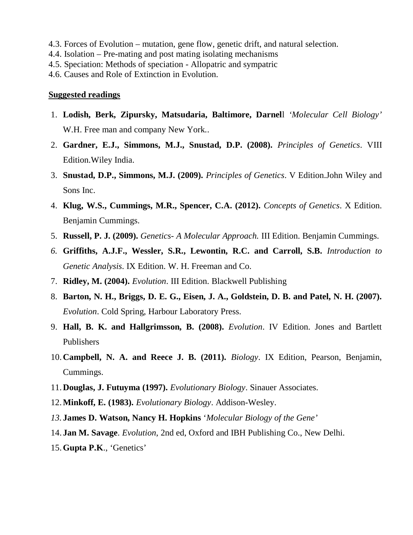- 4.3. Forces of Evolution mutation, gene flow, genetic drift, and natural selection.
- 4.4. Isolation Pre-mating and post mating isolating mechanisms
- 4.5. Speciation: Methods of speciation Allopatric and sympatric
- 4.6. Causes and Role of Extinction in Evolution.

### **Suggested readings**

- 1. **Lodish, Berk, Zipursky, Matsudaria, Baltimore, Darnel**l *'Molecular Cell Biology'*  W.H. Free man and company New York..
- 2. **Gardner, E.J., Simmons, M.J., Snustad, D.P. (2008).** *Principles of Genetics*. VIII Edition.Wiley India.
- 3. **Snustad, D.P., Simmons, M.J. (2009).** *Principles of Genetics*. V Edition.John Wiley and Sons Inc.
- 4. **Klug, W.S., Cummings, M.R., Spencer, C.A. (2012).** *Concepts of Genetics*. X Edition. Benjamin Cummings.
- 5. **Russell, P. J. (2009).** *Genetics- A Molecular Approach.* III Edition. Benjamin Cummings.
- *6.* **Griffiths, A.J.F., Wessler, S.R., Lewontin, R.C. and Carroll, S.B.** *Introduction to Genetic Analysis*. IX Edition. W. H. Freeman and Co.
- 7. **Ridley, M. (2004).** *Evolution*. III Edition. Blackwell Publishing
- 8. **Barton, N. H., Briggs, D. E. G., Eisen, J. A., Goldstein, D. B. and Patel, N. H. (2007).** *Evolution*. Cold Spring, Harbour Laboratory Press.
- 9. **Hall, B. K. and Hallgrimsson, B. (2008).** *Evolution*. IV Edition. Jones and Bartlett Publishers
- 10.**Campbell, N. A. and Reece J. B. (2011).** *Biology*. IX Edition, Pearson, Benjamin, Cummings.
- 11.**Douglas, J. Futuyma (1997).** *Evolutionary Biology*. Sinauer Associates.
- 12.**Minkoff, E. (1983).** *Evolutionary Biology*. Addison-Wesley.
- *13.* **James D. Watson, Nancy H. Hopkins** '*Molecular Biology of the Gene'*
- 14. **Jan M. Savage**. *Evolution*, 2nd ed, Oxford and IBH Publishing Co., New Delhi.
- 15.**Gupta P.K**., 'Genetics'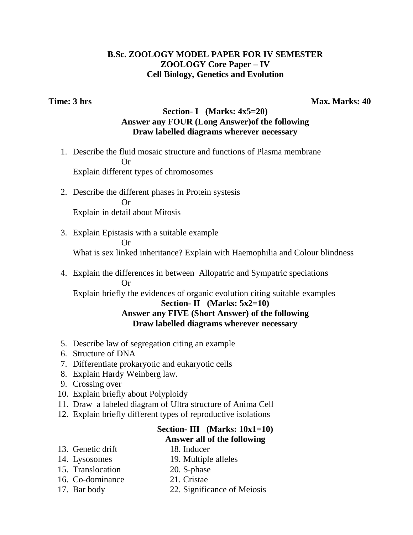## **B.Sc. ZOOLOGY MODEL PAPER FOR IV SEMESTER ZOOLOGY Core Paper – IV Cell Biology, Genetics and Evolution**

**Time: 3 hrs** Max. Marks: 40

## **Section- I (Marks: 4x5=20) Answer any FOUR (Long Answer)of the following Draw labelled diagrams wherever necessary**

- 1. Describe the fluid mosaic structure and functions of Plasma membrane **Or** Or Explain different types of chromosomes
	- 2. Describe the different phases in Protein systesis Or Explain in detail about Mitosis

- 3. Explain Epistasis with a suitable example Or What is sex linked inheritance? Explain with Haemophilia and Colour blindness
- 4. Explain the differences in between Allopatric and Sympatric speciations Or

Explain briefly the evidences of organic evolution citing suitable examples

### **Section- II (Marks: 5x2=10) Answer any FIVE (Short Answer) of the following Draw labelled diagrams wherever necessary**

- 5. Describe law of segregation citing an example
- 6. Structure of DNA
- 7. Differentiate prokaryotic and eukaryotic cells
- 8. Explain Hardy Weinberg law.
- 9. Crossing over
- 10. Explain briefly about Polyploidy
- 11. Draw a labeled diagram of Ultra structure of Anima Cell
- 12. Explain briefly different types of reproductive isolations

# **Section- III (Marks: 10x1=10) Answer all of the following**

- 13. Genetic drift 18. Inducer
- 
- 14. Lysosomes 19. Multiple alleles
- 15. Translocation 20. S-phase
- 16. Co-dominance 21. Cristae
- 
- 17. Bar body 22. Significance of Meiosis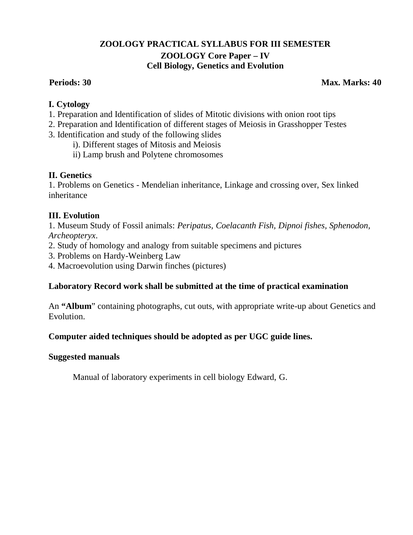## **ZOOLOGY PRACTICAL SYLLABUS FOR III SEMESTER ZOOLOGY Core Paper – IV Cell Biology, Genetics and Evolution**

### **Periods: 30 Max. Marks: 40 Max. Marks: 40 Max. Marks: 40 Max. Marks: 40**

## **I. Cytology**

- 1. Preparation and Identification of slides of Mitotic divisions with onion root tips
- 2. Preparation and Identification of different stages of Meiosis in Grasshopper Testes
- 3. Identification and study of the following slides
	- i). Different stages of Mitosis and Meiosis
	- ii) Lamp brush and Polytene chromosomes

## **II. Genetics**

1. Problems on Genetics - Mendelian inheritance, Linkage and crossing over, Sex linked inheritance

## **III. Evolution**

1. Museum Study of Fossil animals: *Peripatus, Coelacanth Fish, Dipnoi fishes, Sphenodon, Archeopteryx*.

- 2. Study of homology and analogy from suitable specimens and pictures
- 3. Problems on Hardy-Weinberg Law
- 4. Macroevolution using Darwin finches (pictures)

## **Laboratory Record work shall be submitted at the time of practical examination**

An **"Album**" containing photographs, cut outs, with appropriate write-up about Genetics and Evolution.

## **Computer aided techniques should be adopted as per UGC guide lines.**

## **Suggested manuals**

Manual of laboratory experiments in cell biology Edward, G.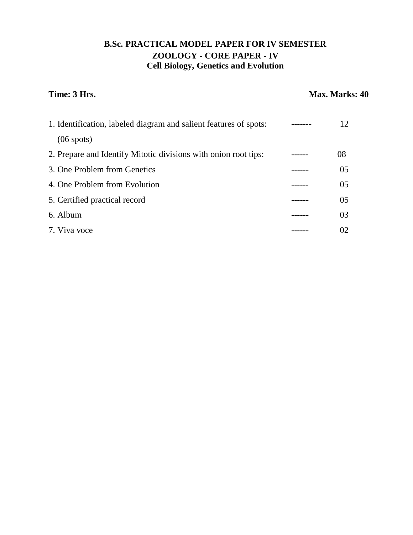# **B.Sc. PRACTICAL MODEL PAPER FOR IV SEMESTER ZOOLOGY - CORE PAPER - IV Cell Biology, Genetics and Evolution**

### **Time: 3 Hrs.** Max. Marks: 40

| 1. Identification, labeled diagram and salient features of spots: | 12  |
|-------------------------------------------------------------------|-----|
| $(06 \text{ spots})$                                              |     |
| 2. Prepare and Identify Mitotic divisions with onion root tips:   | 08  |
| 3. One Problem from Genetics                                      | 05  |
| 4. One Problem from Evolution                                     | 0.5 |
| 5. Certified practical record                                     | 0.5 |
| 6. Album                                                          | 03  |
| 7. Viva voce                                                      | 02  |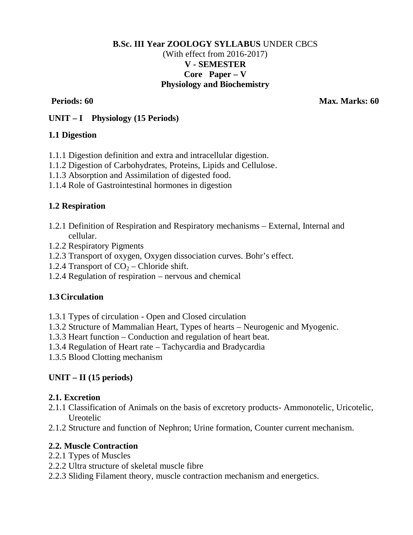## **B.Sc. III Year ZOOLOGY SYLLABUS** UNDER CBCS (With effect from 2016-2017) **V - SEMESTER Core Paper – V Physiology and Biochemistry**

**Periods: 60 Max. Marks: 60** 

## **UNIT – I Physiology (15 Periods)**

## **1.1 Digestion**

- 1.1.1 Digestion definition and extra and intracellular digestion.
- 1.1.2 Digestion of Carbohydrates, Proteins, Lipids and Cellulose.
- 1.1.3 Absorption and Assimilation of digested food.
- 1.1.4 Role of Gastrointestinal hormones in digestion

## **1.2 Respiration**

- 1.2.1 Definition of Respiration and Respiratory mechanisms External, Internal and cellular.
- 1.2.2 Respiratory Pigments
- 1.2.3 Transport of oxygen, Oxygen dissociation curves. Bohr's effect.
- 1.2.4 Transport of  $CO<sub>2</sub> Chloride shift$ .
- 1.2.4 Regulation of respiration nervous and chemical

## **1.3Circulation**

- 1.3.1 Types of circulation Open and Closed circulation
- 1.3.2 Structure of Mammalian Heart, Types of hearts Neurogenic and Myogenic.
- 1.3.3 Heart function Conduction and regulation of heart beat.
- 1.3.4 Regulation of Heart rate Tachycardia and Bradycardia
- 1.3.5 Blood Clotting mechanism

## **UNIT – II (15 periods)**

## **2.1. Excretion**

- 2.1.1 Classification of Animals on the basis of excretory products- Ammonotelic, Uricotelic, Ureotelic
- 2.1.2 Structure and function of Nephron; Urine formation, Counter current mechanism.

## **2.2. Muscle Contraction**

- 2.2.1 Types of Muscles
- 2.2.2 Ultra structure of skeletal muscle fibre
- 2.2.3 Sliding Filament theory, muscle contraction mechanism and energetics.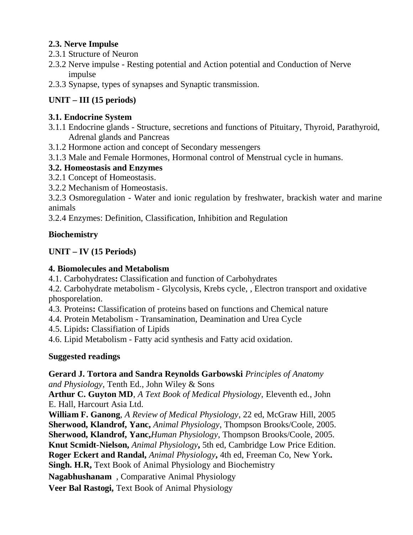## **2.3. Nerve Impulse**

- 2.3.1 Structure of Neuron
- 2.3.2 Nerve impulse Resting potential and Action potential and Conduction of Nerve impulse
- 2.3.3 Synapse, types of synapses and Synaptic transmission.

# **UNIT – III (15 periods)**

## **3.1. Endocrine System**

- 3.1.1 Endocrine glands Structure, secretions and functions of Pituitary, Thyroid, Parathyroid, Adrenal glands and Pancreas
- 3.1.2 Hormone action and concept of Secondary messengers
- 3.1.3 Male and Female Hormones, Hormonal control of Menstrual cycle in humans.

## **3.2. Homeostasis and Enzymes**

- 3.2.1 Concept of Homeostasis.
- 3.2.2 Mechanism of Homeostasis.

3.2.3 Osmoregulation - Water and ionic regulation by freshwater, brackish water and marine animals

3.2.4 Enzymes: Definition, Classification, Inhibition and Regulation

## **Biochemistry**

## **UNIT – IV (15 Periods)**

## **4. Biomolecules and Metabolism**

4.1. Carbohydrates**:** Classification and function of Carbohydrates

4.2. Carbohydrate metabolism - Glycolysis, Krebs cycle, , Electron transport and oxidative phosporelation.

4.3. Proteins**:** Classification of proteins based on functions and Chemical nature

- 4.4. Protein Metabolism Transamination, Deamination and Urea Cycle
- 4.5. Lipids**:** Classifiation of Lipids

4.6. Lipid Metabolism - Fatty acid synthesis and Fatty acid oxidation.

## **Suggested readings**

**Gerard J. Tortora and Sandra Reynolds Garbowski** *Principles of Anatomy and Physiology*, Tenth Ed., John Wiley & Sons

**Arthur C. Guyton MD**, *A Text Book of Medical Physiology,* Eleventh ed., John E. Hall, Harcourt Asia Ltd.

**William F. Ganong**, *A Review of Medical Physiology*, 22 ed, McGraw Hill, 2005 **Sherwood, Klandrof, Yanc,** *Animal Physiology*, Thompson Brooks/Coole, 2005. **Sherwood, Klandrof, Yanc,***Human Physiology*, Thompson Brooks/Coole, 2005. **Knut Scmidt-Nielson,** *Animal Physiology***,** 5th ed, Cambridge Low Price Edition. **Roger Eckert and Randal,** *Animal Physiology***,** 4th ed, Freeman Co, New York**. Singh. H.R,** Text Book of Animal Physiology and Biochemistry

**Nagabhushanam** , Comparative Animal Physiology

**Veer Bal Rastogi,** Text Book of Animal Physiology**\*\*\*\*\***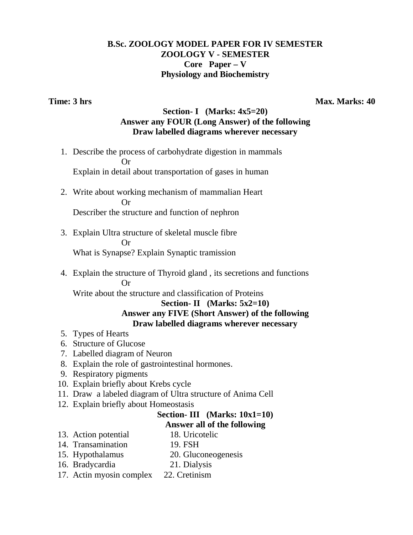## **B.Sc. ZOOLOGY MODEL PAPER FOR IV SEMESTER ZOOLOGY V - SEMESTER Core Paper – V Physiology and Biochemistry**

**Time: 3 hrs** Max. Marks: 40

## **Section- I (Marks: 4x5=20) Answer any FOUR (Long Answer) of the following Draw labelled diagrams wherever necessary**

1. Describe the process of carbohydrate digestion in mammals **Or** Or Explain in detail about transportation of gases in human

2. Write about working mechanism of mammalian Heart

Or

Describer the structure and function of nephron

3. Explain Ultra structure of skeletal muscle fibre Or

What is Synapse? Explain Synaptic tramission

4. Explain the structure of Thyroid gland , its secretions and functions Or

Write about the structure and classification of Proteins

### **Section- II (Marks: 5x2=10) Answer any FIVE (Short Answer) of the following Draw labelled diagrams wherever necessary**

- 5. Types of Hearts
- 6. Structure of Glucose
- 7. Labelled diagram of Neuron
- 8. Explain the role of gastrointestinal hormones.
- 9. Respiratory pigments
- 10. Explain briefly about Krebs cycle
- 11. Draw a labeled diagram of Ultra structure of Anima Cell
- 12. Explain briefly about Homeostasis

## **Section- III (Marks: 10x1=10)**

### **Answer all of the following**

- 13. Action potential 18. Uricotelic
	-
- 14. Transamination 19. FSH
- 15. Hypothalamus 20. Gluconeogenesis
- 16. Bradycardia 21. Dialysis
- 17. Actin myosin complex 22. Cretinism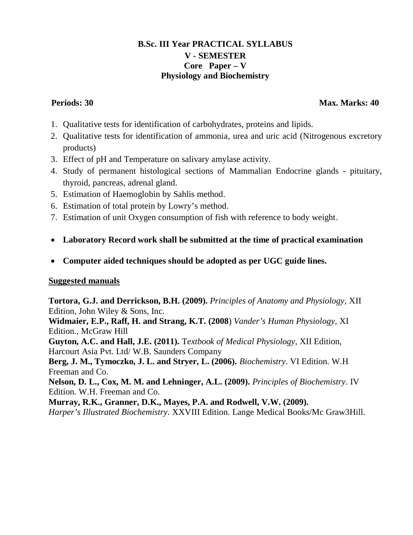## **B.Sc. III Year PRACTICAL SYLLABUS V - SEMESTER Core Paper – V Physiology and Biochemistry**

## **Periods: 30 Max. Marks: 40 Max. Marks: 40 Max. Marks: 40 Max. Marks: 40**

- 1. Qualitative tests for identification of carbohydrates, proteins and lipids.
- 2. Qualitative tests for identification of ammonia, urea and uric acid (Nitrogenous excretory products)
- 3. Effect of pH and Temperature on salivary amylase activity.
- 4. Study of permanent histological sections of Mammalian Endocrine glands pituitary, thyroid, pancreas, adrenal gland.
- 5. Estimation of Haemoglobin by Sahlis method.
- 6. Estimation of total protein by Lowry's method.
- 7. Estimation of unit Oxygen consumption of fish with reference to body weight.
- **Laboratory Record work shall be submitted at the time of practical examination**
- **Computer aided techniques should be adopted as per UGC guide lines.**

## **Suggested manuals**

**Tortora, G.J. and Derrickson, B.H. (2009).** *Principles of Anatomy and Physiology*, XII Edition, John Wiley & Sons, Inc.

**Widmaier, E.P., Raff, H. and Strang, K.T. (2008**) *Vander's Human Physiology*, XI Edition., McGraw Hill

**Guyton, A.C. and Hall, J.E. (2011).** T*extbook of Medical Physiology*, XII Edition, Harcourt Asia Pvt. Ltd/ W.B. Saunders Company

**Berg, J. M., Tymoczko, J. L. and Stryer, L. (2006).** *Biochemistry*. VI Edition. W.H Freeman and Co.

**Nelson, D. L., Cox, M. M. and Lehninger, A.L. (2009).** *Principles of Biochemistry*. IV Edition. W.H. Freeman and Co.

**Murray, R.K., Granner, D.K., Mayes, P.A. and Rodwell, V.W. (2009).**

*Harper's Illustrated Biochemistry*. XXVIII Edition. Lange Medical Books/Mc Graw3Hill.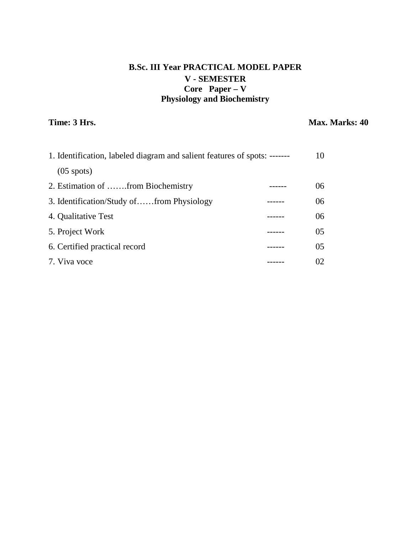# **B.Sc. III Year PRACTICAL MODEL PAPER V - SEMESTER Core Paper – V Physiology and Biochemistry**

**Time: 3 Hrs.** Max. Marks: 40

| 1. Identification, labeled diagram and salient features of spots: ------- |  | 10             |
|---------------------------------------------------------------------------|--|----------------|
| $(05 \text{ spots})$                                                      |  |                |
| 2. Estimation of from Biochemistry                                        |  | 06             |
| 3. Identification/Study offrom Physiology                                 |  | 06             |
| 4. Qualitative Test                                                       |  | 06             |
| 5. Project Work                                                           |  | 0 <sub>5</sub> |
| 6. Certified practical record                                             |  | 0 <sub>5</sub> |
| 7. Viva voce                                                              |  | 02             |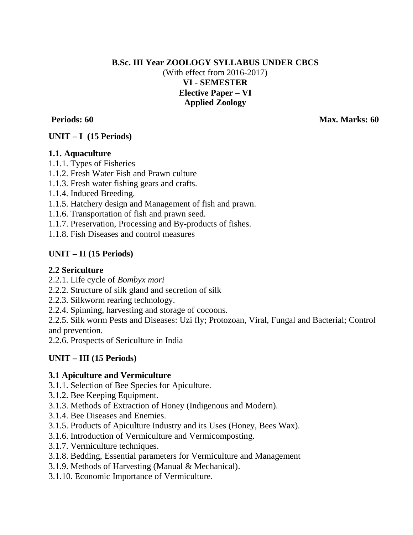## **B.Sc. III Year ZOOLOGY SYLLABUS UNDER CBCS** (With effect from 2016-2017) **VI - SEMESTER Elective Paper – VI Applied Zoology**

**Periods: 60 Max. Marks: 60 Max. Marks: 60 Max. Marks: 60 Max. Marks: 60 Max. Marks: 60** 

# **UNIT – I (15 Periods)**

## **1.1. Aquaculture**

- 1.1.1. Types of Fisheries
- 1.1.2. Fresh Water Fish and Prawn culture
- 1.1.3. Fresh water fishing gears and crafts.
- 1.1.4. Induced Breeding.
- 1.1.5. Hatchery design and Management of fish and prawn.
- 1.1.6. Transportation of fish and prawn seed.
- 1.1.7. Preservation, Processing and By-products of fishes.
- 1.1.8. Fish Diseases and control measures

# **UNIT – II (15 Periods)**

## **2.2 Sericulture**

- 2.2.1. Life cycle of *Bombyx mori*
- 2.2.2. Structure of silk gland and secretion of silk
- 2.2.3. Silkworm rearing technology.
- 2.2.4. Spinning, harvesting and storage of cocoons.

2.2.5. Silk worm Pests and Diseases: Uzi fly; Protozoan, Viral, Fungal and Bacterial; Control and prevention.

2.2.6. Prospects of Sericulture in India

## **UNIT – III (15 Periods)**

## **3.1 Apiculture and Vermiculture**

- 3.1.1. Selection of Bee Species for Apiculture.
- 3.1.2. Bee Keeping Equipment.
- 3.1.3. Methods of Extraction of Honey (Indigenous and Modern).
- 3.1.4. Bee Diseases and Enemies.
- 3.1.5. Products of Apiculture Industry and its Uses (Honey, Bees Wax).
- 3.1.6. Introduction of Vermiculture and Vermicomposting.
- 3.1.7. Vermiculture techniques.
- 3.1.8. Bedding, Essential parameters for Vermiculture and Management
- 3.1.9. Methods of Harvesting (Manual & Mechanical).
- 3.1.10. Economic Importance of Vermiculture.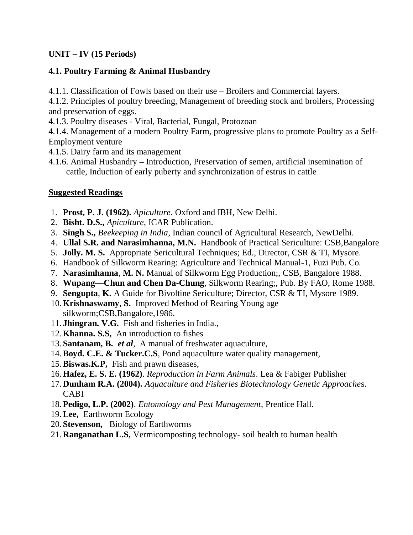## **UNIT – IV (15 Periods)**

# **4.1. Poultry Farming & Animal Husbandry**

4.1.1. Classification of Fowls based on their use – Broilers and Commercial layers.

4.1.2. Principles of poultry breeding, Management of breeding stock and broilers, Processing and preservation of eggs.

4.1.3. Poultry diseases - Viral, Bacterial, Fungal, Protozoan

4.1.4. Management of a modern Poultry Farm, progressive plans to promote Poultry as a Self-Employment venture

- 4.1.5. Dairy farm and its management
- 4.1.6. Animal Husbandry Introduction, Preservation of semen, artificial insemination of cattle, Induction of early puberty and synchronization of estrus in cattle

# **Suggested Readings**

- 1. **Prost, P. J. (1962).** *Apiculture*. Oxford and IBH, New Delhi.
- 2. **Bisht. D.S.,** *Apiculture*, ICAR Publication.
- 3. **Singh S.,** *Beekeeping in India*, Indian council of Agricultural Research, NewDelhi.
- 4. **Ullal S.R. and Narasimhanna, M.N.** Handbook of Practical Sericulture: CSB,Bangalore
- 5. **Jolly. M. S.** Appropriate Sericultural Techniques; Ed., Director, CSR & TI, Mysore.
- 6. Handbook of Silkworm Rearing: Agriculture and Technical Manual-1, Fuzi Pub. Co.
- 7. **Narasimhanna**, **M. N.** Manual of Silkworm Egg Production;, CSB, Bangalore 1988.
- 8. **Wupang—Chun and Chen Da-Chung**, Silkworm Rearing;, Pub. By FAO, Rome 1988.
- 9. **Sengupta**, **K.** A Guide for Bivoltine Sericulture; Director, CSR & TI, Mysore 1989.
- 10.**Krishnaswamy**, **S.** Improved Method of Rearing Young age silkworm;CSB,Bangalore,1986.
- 11. **Jhingran. V.G.** Fish and fisheries in India.,
- 12.**Khanna. S.S,** An introduction to fishes
- 13. **Santanam, B.** *et al,* A manual of freshwater aquaculture,
- 14.**Boyd. C.E. & Tucker.C.S**, Pond aquaculture water quality management,
- 15.**Biswas.K.P,** Fish and prawn diseases,
- 16.**Hafez, E. S. E. (1962)**. *Reproduction in Farm Animals*. Lea & Fabiger Publisher
- 17.**Dunham R.A. (2004).** *Aquaculture and Fisheries Biotechnology Genetic Approache*s. CABI
- 18.**Pedigo, L.P. (2002)**. *Entomology and Pest Management*, Prentice Hall.
- 19.**Lee,** Earthworm Ecology
- 20. **Stevenson,** Biology of Earthworms
- 21.**Ranganathan L.S,** Vermicomposting technology- soil health to human health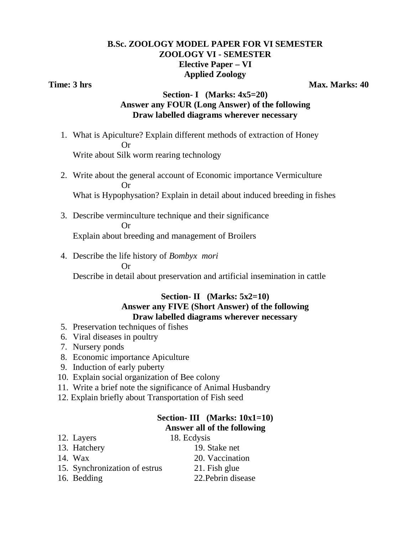## **B.Sc. ZOOLOGY MODEL PAPER FOR VI SEMESTER ZOOLOGY VI - SEMESTER Elective Paper – VI Applied Zoology**

**Time: 3 hrs** Max. Marks: 40

### **Section- I (Marks: 4x5=20) Answer any FOUR (Long Answer) of the following Draw labelled diagrams wherever necessary**

1. What is Apiculture? Explain different methods of extraction of Honey **Or** Or

Write about Silk worm rearing technology

- 2. Write about the general account of Economic importance Vermiculture Or What is Hypophysation? Explain in detail about induced breeding in fishes
- 3. Describe verminculture technique and their significance Or

Explain about breeding and management of Broilers

4. Describe the life history of *Bombyx mori*

Or

Describe in detail about preservation and artificial insemination in cattle

## **Section- II (Marks: 5x2=10) Answer any FIVE (Short Answer) of the following Draw labelled diagrams wherever necessary**

- 5. Preservation techniques of fishes
- 6. Viral diseases in poultry
- 7. Nursery ponds
- 8. Economic importance Apiculture
- 9. Induction of early puberty
- 10. Explain social organization of Bee colony
- 11. Write a brief note the significance of Animal Husbandry
- 12. Explain briefly about Transportation of Fish seed

### **Section- III (Marks: 10x1=10) Answer all of the following**

12. Layers 18. Ecdysis 13. Hatchery 19. Stake net 14. Wax 20. Vaccination 15. Synchronization of estrus 21. Fish glue 16. Bedding 22.Pebrin disease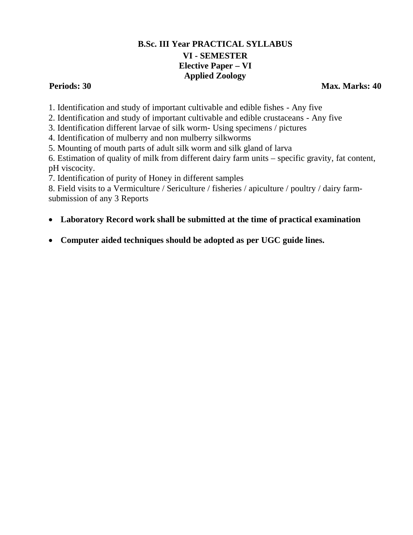# **B.Sc. III Year PRACTICAL SYLLABUS VI - SEMESTER Elective Paper – VI Applied Zoology**

**Periods: 30 Max. Marks: 40** 

1. Identification and study of important cultivable and edible fishes - Any five

2. Identification and study of important cultivable and edible crustaceans - Any five

3. Identification different larvae of silk worm- Using specimens / pictures

4. Identification of mulberry and non mulberry silkworms

5. Mounting of mouth parts of adult silk worm and silk gland of larva

6. Estimation of quality of milk from different dairy farm units – specific gravity, fat content, pH viscocity.

7. Identification of purity of Honey in different samples

8. Field visits to a Vermiculture / Sericulture / fisheries / apiculture / poultry / dairy farmsubmission of any 3 Reports

- **Laboratory Record work shall be submitted at the time of practical examination**
- **Computer aided techniques should be adopted as per UGC guide lines.**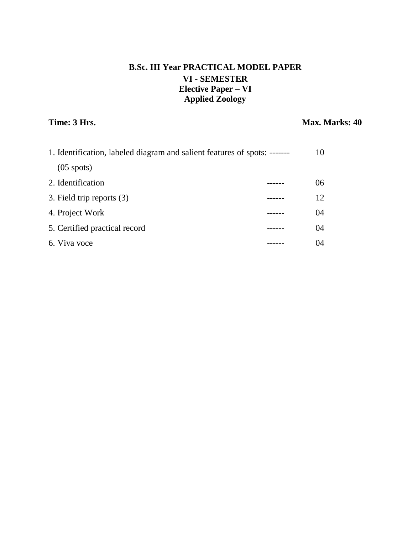# **B.Sc. III Year PRACTICAL MODEL PAPER VI - SEMESTER Elective Paper – VI Applied Zoology**

# **Time: 3 Hrs.** Max. Marks: 40

| 1. Identification, labeled diagram and salient features of spots: ------- |  | 10 |
|---------------------------------------------------------------------------|--|----|
| $(05$ spots)                                                              |  |    |
| 2. Identification                                                         |  | 06 |
| 3. Field trip reports (3)                                                 |  | 12 |
| 4. Project Work                                                           |  | 04 |
| 5. Certified practical record                                             |  | 04 |
| 6. Viva voce                                                              |  | 04 |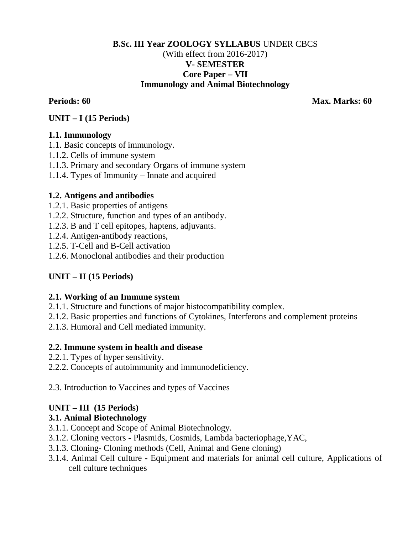## **B.Sc. III Year ZOOLOGY SYLLABUS** UNDER CBCS (With effect from 2016-2017) **V- SEMESTER Core Paper – VII Immunology and Animal Biotechnology**

**Periods: 60 Max. Marks: 60** 

## **UNIT – I (15 Periods)**

## **1.1. Immunology**

- 1.1. Basic concepts of immunology.
- 1.1.2. Cells of immune system
- 1.1.3. Primary and secondary Organs of immune system
- 1.1.4. Types of Immunity Innate and acquired

## **1.2. Antigens and antibodies**

- 1.2.1. Basic properties of antigens
- 1.2.2. Structure, function and types of an antibody.
- 1.2.3. B and T cell epitopes, haptens, adjuvants.
- 1.2.4. Antigen-antibody reactions,
- 1.2.5. T-Cell and B-Cell activation
- 1.2.6. Monoclonal antibodies and their production

## **UNIT – II (15 Periods)**

## **2.1. Working of an Immune system**

- 2.1.1. Structure and functions of major histocompatibility complex.
- 2.1.2. Basic properties and functions of Cytokines, Interferons and complement proteins
- 2.1.3. Humoral and Cell mediated immunity.

## **2.2. Immune system in health and disease**

- 2.2.1. Types of hyper sensitivity.
- 2.2.2. Concepts of autoimmunity and immunodeficiency.

2.3. Introduction to Vaccines and types of Vaccines

## **UNIT – III (15 Periods)**

## **3.1. Animal Biotechnology**

- 3.1.1. Concept and Scope of Animal Biotechnology.
- 3.1.2. Cloning vectors Plasmids, Cosmids, Lambda bacteriophage,YAC,
- 3.1.3. Cloning- Cloning methods (Cell, Animal and Gene cloning)
- 3.1.4. Animal Cell culture **-** Equipment and materials for animal cell culture, Applications of cell culture techniques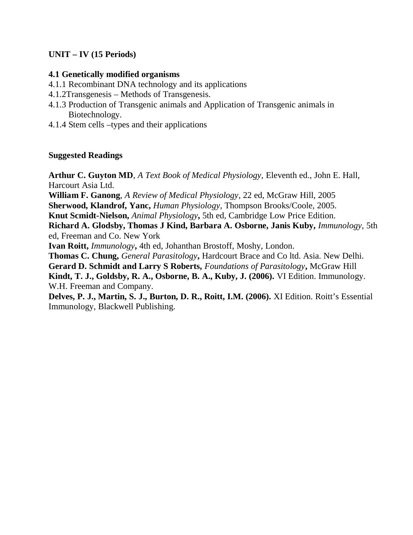## **UNIT – IV (15 Periods)**

### **4.1 Genetically modified organisms**

- 4.1.1 Recombinant DNA technology and its applications
- 4.1.2Transgenesis Methods of Transgenesis.
- 4.1.3 Production of Transgenic animals and Application of Transgenic animals in Biotechnology.
- 4.1.4 Stem cells –types and their applications

## **Suggested Readings**

**Arthur C. Guyton MD**, *A Text Book of Medical Physiology,* Eleventh ed., John E. Hall, Harcourt Asia Ltd.

**William F. Ganong**, *A Review of Medical Physiology*, 22 ed, McGraw Hill, 2005

**Sherwood, Klandrof, Yanc,** *Human Physiology*, Thompson Brooks/Coole, 2005.

**Knut Scmidt-Nielson,** *Animal Physiology***,** 5th ed, Cambridge Low Price Edition.

**Richard A. Glodsby, Thomas J Kind, Barbara A. Osborne, Janis Kuby,** *Immunology,* 5th ed, Freeman and Co. New York

**Ivan Roitt,** *Immunology***,** 4th ed, Johanthan Brostoff, Moshy, London.

**Thomas C. Chung,** *General Parasitology***,** Hardcourt Brace and Co ltd. Asia. New Delhi.

**Gerard D. Schmidt and Larry S Roberts,** *Foundations of Parasitology***,** McGraw Hill

**Kindt, T. J., Goldsby, R. A., Osborne, B. A., Kuby, J. (2006).** VI Edition. Immunology. W.H. Freeman and Company.

**Delves, P. J., Martin, S. J., Burton, D. R., Roitt, I.M. (2006).** XI Edition. Roitt's Essential Immunology, Blackwell Publishing.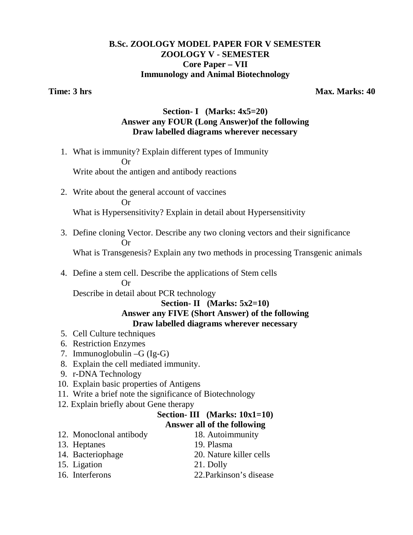## **B.Sc. ZOOLOGY MODEL PAPER FOR V SEMESTER ZOOLOGY V - SEMESTER Core Paper – VII Immunology and Animal Biotechnology**

**Time: 3 hrs** Max. Marks: 40

## **Section- I (Marks: 4x5=20) Answer any FOUR (Long Answer)of the following Draw labelled diagrams wherever necessary**

1. What is immunity? Explain different types of Immunity **Or** Or

Write about the antigen and antibody reactions

2. Write about the general account of vaccines Or What is Hypersensitivity? Explain in detail about Hypersensitivity

3. Define cloning Vector. Describe any two cloning vectors and their significance Or

What is Transgenesis? Explain any two methods in processing Transgenic animals

4. Define a stem cell. Describe the applications of Stem cells Or

Describe in detail about PCR technology

### **Section- II (Marks: 5x2=10) Answer any FIVE (Short Answer) of the following Draw labelled diagrams wherever necessary**

- 5. Cell Culture techniques
- 6. Restriction Enzymes
- 7. Immunoglobulin –G (Ig-G)
- 8. Explain the cell mediated immunity.
- 9. r-DNA Technology
- 10. Explain basic properties of Antigens
- 11. Write a brief note the significance of Biotechnology
- 12. Explain briefly about Gene therapy

### **Section- III (Marks: 10x1=10) Answer all of the following**

- 12. Monoclonal antibody 18. Autoimmunity 13. Heptanes 19. Plasma
- 14. Bacteriophage 20. Nature killer cells 15. Ligation 21. Dolly
- 16. Interferons 22.Parkinson's disease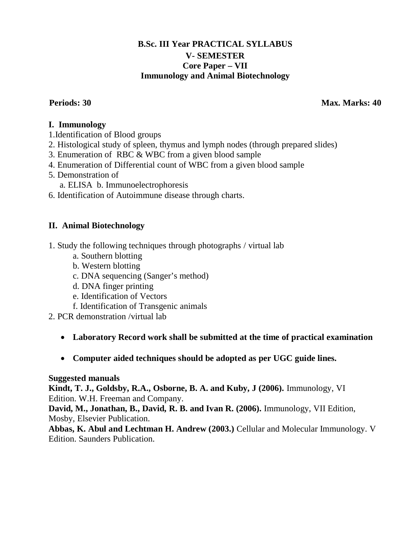## **B.Sc. III Year PRACTICAL SYLLABUS V- SEMESTER Core Paper – VII Immunology and Animal Biotechnology**

**Periods: 30 Max. Marks: 40 Max. Marks: 40 Max. Marks: 40 Max. Marks: 40** 

## **I. Immunology**

- 1.Identification of Blood groups
- 2. Histological study of spleen, thymus and lymph nodes (through prepared slides)
- 3. Enumeration of RBC & WBC from a given blood sample
- 4. Enumeration of Differential count of WBC from a given blood sample
- 5. Demonstration of
	- a. ELISA b. Immunoelectrophoresis
- 6. Identification of Autoimmune disease through charts.

## **II. Animal Biotechnology**

- 1. Study the following techniques through photographs / virtual lab
	- a. Southern blotting
	- b. Western blotting
	- c. DNA sequencing (Sanger's method)
	- d. DNA finger printing
	- e. Identification of Vectors
	- f. Identification of Transgenic animals
- 2. PCR demonstration /virtual lab
	- **Laboratory Record work shall be submitted at the time of practical examination**
	- **Computer aided techniques should be adopted as per UGC guide lines.**

## **Suggested manuals**

**Kindt, T. J., Goldsby, R.A., Osborne, B. A. and Kuby, J (2006).** Immunology, VI Edition. W.H. Freeman and Company.

**David, M., Jonathan, B., David, R. B. and Ivan R. (2006).** Immunology, VII Edition, Mosby, Elsevier Publication.

**Abbas, K. Abul and Lechtman H. Andrew (2003.)** Cellular and Molecular Immunology. V Edition. Saunders Publication.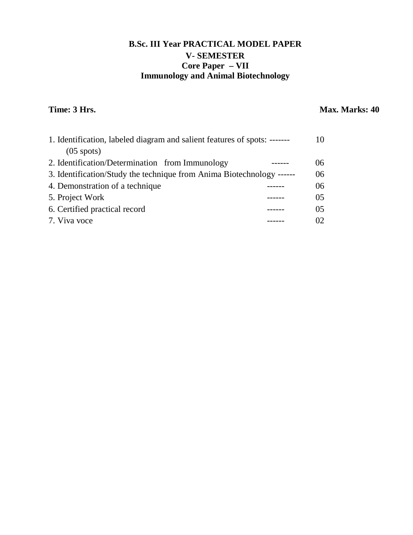# **B.Sc. III Year PRACTICAL MODEL PAPER V- SEMESTER Core Paper – VII Immunology and Animal Biotechnology**

# **Time: 3 Hrs.** Max. Marks: 40

| 1. Identification, labeled diagram and salient features of spots: ------- |  | 10              |
|---------------------------------------------------------------------------|--|-----------------|
| $(05$ spots)                                                              |  |                 |
| 2. Identification/Determination from Immunology                           |  | 06 <sup>1</sup> |
| 3. Identification/Study the technique from Anima Biotechnology ------     |  | 06              |
| 4. Demonstration of a technique                                           |  | 06              |
| 5. Project Work                                                           |  | 0 <sub>5</sub>  |
| 6. Certified practical record                                             |  | 0 <sub>5</sub>  |
| 7. Viva voce                                                              |  | 02              |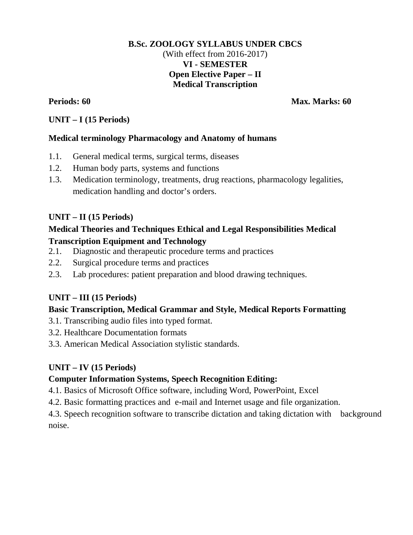### **B.Sc. ZOOLOGY SYLLABUS UNDER CBCS** (With effect from 2016-2017) **VI - SEMESTER Open Elective Paper – II Medical Transcription**

**Periods: 60 Max. Marks: 60 Max. Marks: 60 Max. Marks: 60 Max. Marks: 60** 

### **UNIT – I (15 Periods)**

### **Medical terminology Pharmacology and Anatomy of humans**

- 1.1. General medical terms, surgical terms, diseases
- 1.2. Human body parts, systems and functions
- 1.3. Medication terminology, treatments, drug reactions, pharmacology legalities, medication handling and doctor's orders.

## **UNIT – II (15 Periods)**

## **Medical Theories and Techniques Ethical and Legal Responsibilities Medical**

### **Transcription Equipment and Technology**

- 2.1. Diagnostic and therapeutic procedure terms and practices
- 2.2. Surgical procedure terms and practices
- 2.3. Lab procedures: patient preparation and blood drawing techniques.

## **UNIT – III (15 Periods)**

## **Basic Transcription, Medical Grammar and Style, Medical Reports Formatting**

- 3.1. Transcribing audio files into typed format.
- 3.2. Healthcare Documentation formats
- 3.3. American Medical Association stylistic standards.

## **UNIT – IV (15 Periods)**

## **Computer Information Systems, Speech Recognition Editing:**

- 4.1. Basics of Microsoft Office software, including Word, PowerPoint, Excel
- 4.2. Basic formatting practices and e-mail and Internet usage and file organization.

4.3. Speech recognition software to transcribe dictation and taking dictation with background noise.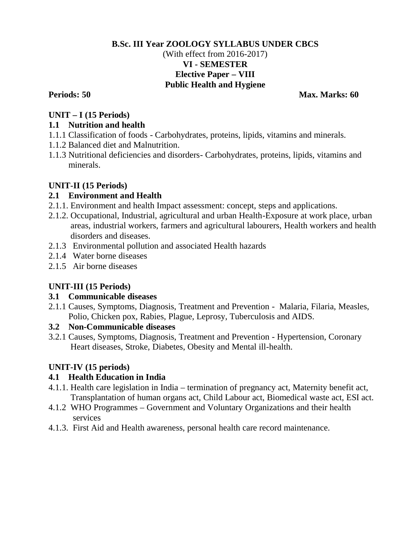## **B.Sc. III Year ZOOLOGY SYLLABUS UNDER CBCS** (With effect from 2016-2017) **VI - SEMESTER Elective Paper – VIII Public Health and Hygiene**

**Periods: 50 Max. Marks: 60 Max. Marks: 60 Max. Marks: 60 Max. Marks: 60 Max. Marks: 60 Max. Marks: 60 Max. Marks: 60 Max. Marks: 60 Max. Marks: 60 Max. Marks: 60 Max. Marks: 60 Max. Marks: 60 Max. Marks: 60 Max. Marks: 60** 

## **UNIT – I (15 Periods)**

## **1.1 Nutrition and health**

- 1.1.1 Classification of foods Carbohydrates, proteins, lipids, vitamins and minerals.
- 1.1.2 Balanced diet and Malnutrition.
- 1.1.3 Nutritional deficiencies and disorders- Carbohydrates, proteins, lipids, vitamins and minerals.

# **UNIT-II (15 Periods)**

# **2.1 Environment and Health**

- 2.1.1. Environment and health Impact assessment: concept, steps and applications.
- 2.1.2. Occupational, Industrial, agricultural and urban Health-Exposure at work place, urban areas, industrial workers, farmers and agricultural labourers, Health workers and health disorders and diseases.
- 2.1.3 Environmental pollution and associated Health hazards
- 2.1.4 Water borne diseases
- 2.1.5 Air borne diseases

# **UNIT-III (15 Periods)**

## **3.1 Communicable diseases**

2.1.1 Causes, Symptoms, Diagnosis, Treatment and Prevention - Malaria, Filaria, Measles, Polio, Chicken pox, Rabies, Plague, Leprosy, Tuberculosis and AIDS.

# **3.2 Non-Communicable diseases**

3.2.1 Causes, Symptoms, Diagnosis, Treatment and Prevention - Hypertension, Coronary Heart diseases, Stroke, Diabetes, Obesity and Mental ill-health.

# **UNIT-IV (15 periods)**

# **4.1 Health Education in India**

- 4.1.1. Health care legislation in India termination of pregnancy act, Maternity benefit act, Transplantation of human organs act, Child Labour act, Biomedical waste act, ESI act.
- 4.1.2 WHO Programmes Government and Voluntary Organizations and their health services
- 4.1.3. First Aid and Health awareness, personal health care record maintenance.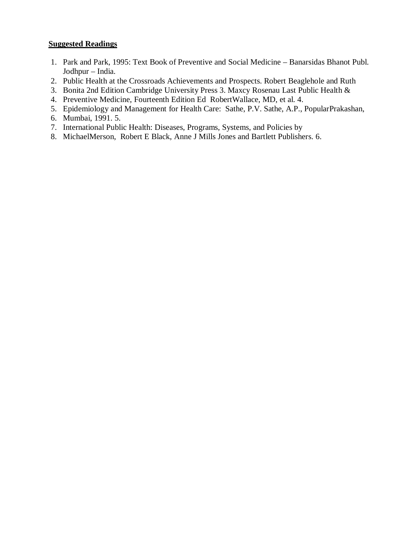### **Suggested Readings**

- 1. Park and Park, 1995: Text Book of Preventive and Social Medicine Banarsidas Bhanot Publ. Jodhpur – India.
- 2. Public Health at the Crossroads Achievements and Prospects. Robert Beaglehole and Ruth
- 3. Bonita 2nd Edition Cambridge University Press 3. Maxcy Rosenau Last Public Health &
- 4. Preventive Medicine, Fourteenth Edition Ed RobertWallace, MD, et al. 4.
- 5. Epidemiology and Management for Health Care: Sathe, P.V. Sathe, A.P., PopularPrakashan,
- 6. Mumbai, 1991. 5.
- 7. International Public Health: Diseases, Programs, Systems, and Policies by
- 8. MichaelMerson, Robert E Black, Anne J Mills Jones and Bartlett Publishers. 6.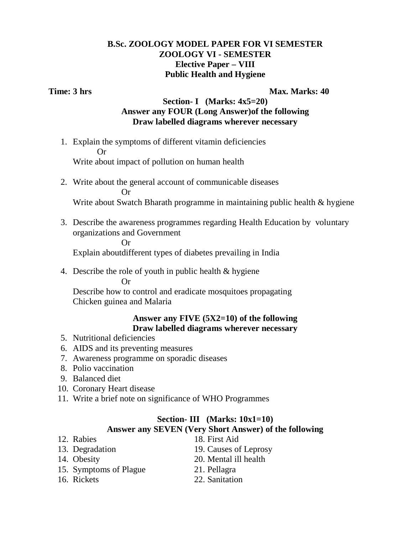## **B.Sc. ZOOLOGY MODEL PAPER FOR VI SEMESTER ZOOLOGY VI - SEMESTER Elective Paper – VIII Public Health and Hygiene**

**Time: 3 hrs** Max. Marks: 40

## **Section- I (Marks: 4x5=20) Answer any FOUR (Long Answer)of the following Draw labelled diagrams wherever necessary**

1. Explain the symptoms of different vitamin deficiencies Or

Write about impact of pollution on human health

2. Write about the general account of communicable diseases Or

Write about Swatch Bharath programme in maintaining public health & hygiene

3. Describe the awareness programmes regarding Health Education by voluntary organizations and Government

Or

Explain aboutdifferent types of diabetes prevailing in India

4. Describe the role of youth in public health & hygiene

Or

Describe how to control and eradicate mosquitoes propagating Chicken guinea and Malaria

### **Answer any FIVE (5X2=10) of the following Draw labelled diagrams wherever necessary**

- 5. Nutritional deficiencies
- 6. AIDS and its preventing measures
- 7. Awareness programme on sporadic diseases
- 8. Polio vaccination
- 9. Balanced diet
- 10. Coronary Heart disease
- 11. Write a brief note on significance of WHO Programmes

### **Section- III (Marks: 10x1=10) Answer any SEVEN (Very Short Answer) of the following**

| 12. Rabies             | 18. First Aid         |
|------------------------|-----------------------|
| 13. Degradation        | 19. Causes of Leprosy |
| 14. Obesity            | 20. Mental ill health |
| 15. Symptoms of Plague | 21. Pellagra          |
| 16. Rickets            | 22. Sanitation        |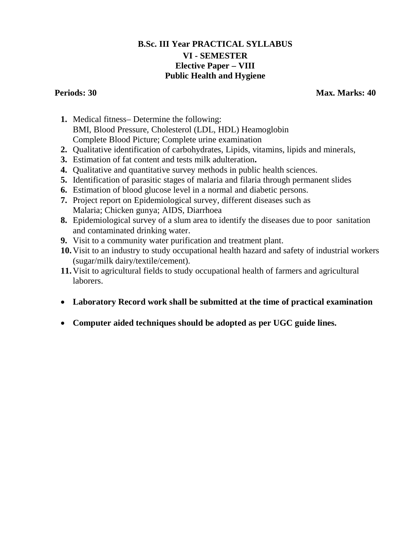## **B.Sc. III Year PRACTICAL SYLLABUS VI - SEMESTER Elective Paper – VIII Public Health and Hygiene**

**Periods: 30 Max. Marks: 40 Max. Marks: 40 Max. Marks: 40 Max. Marks: 40** 

- **1.** Medical fitness– Determine the following: BMI, Blood Pressure, Cholesterol (LDL, HDL) Heamoglobin Complete Blood Picture; Complete urine examination
- **2.** Qualitative identification of carbohydrates, Lipids, vitamins, lipids and minerals,
- **3.** Estimation of fat content and tests milk adulteration**.**
- **4.** Qualitative and quantitative survey methods in public health sciences.
- **5.** Identification of parasitic stages of malaria and filaria through permanent slides
- **6.** Estimation of blood glucose level in a normal and diabetic persons.
- **7.** Project report on Epidemiological survey, different diseases such as Malaria; Chicken gunya; AIDS, Diarrhoea
- **8.** Epidemiological survey of a slum area to identify the diseases due to poor sanitation and contaminated drinking water.
- **9.** Visit to a community water purification and treatment plant.
- **10.**Visit to an industry to study occupational health hazard and safety of industrial workers (sugar/milk dairy/textile/cement).
- **11.**Visit to agricultural fields to study occupational health of farmers and agricultural laborers.
- **Laboratory Record work shall be submitted at the time of practical examination**
- **Computer aided techniques should be adopted as per UGC guide lines.**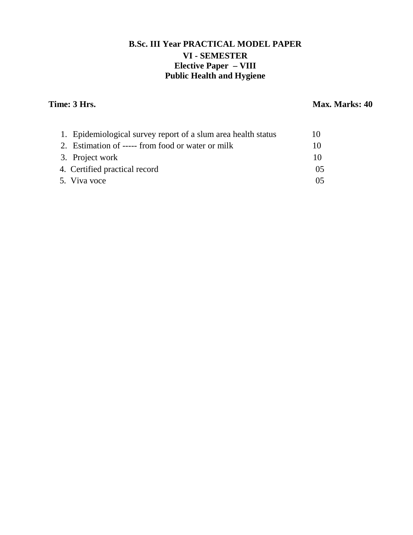# **B.Sc. III Year PRACTICAL MODEL PAPER VI - SEMESTER Elective Paper – VIII Public Health and Hygiene**

## **Time: 3 Hrs.** Max. Marks: 40

| 1. Epidemiological survey report of a slum area health status | 10 |
|---------------------------------------------------------------|----|
| 2. Estimation of ----- from food or water or milk             | 10 |
| 3. Project work                                               | 10 |
| 4. Certified practical record                                 | 05 |
| 5. Viva voce                                                  | 05 |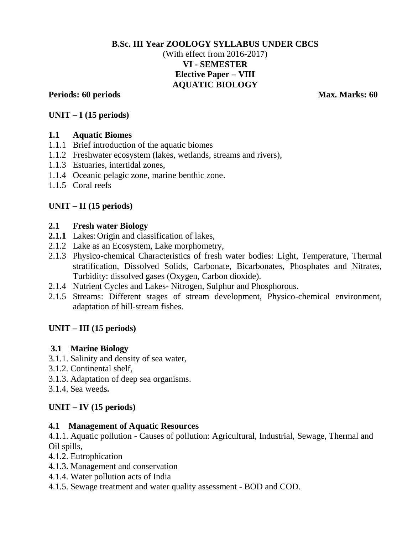## **B.Sc. III Year ZOOLOGY SYLLABUS UNDER CBCS** (With effect from 2016-2017) **VI - SEMESTER Elective Paper – VIII AQUATIC BIOLOGY**

## **Periods:** 60 periods Max. Marks: 60

## **UNIT – I (15 periods)**

## **1.1 Aquatic Biomes**

- 1.1.1 Brief introduction of the aquatic biomes
- 1.1.2 Freshwater ecosystem (lakes, wetlands, streams and rivers),
- 1.1.3 Estuaries, intertidal zones,
- 1.1.4 Oceanic pelagic zone, marine benthic zone.
- 1.1.5 Coral reefs

## **UNIT – II (15 periods)**

### **2.1 Fresh water Biology**

- 2.1.1 Lakes: Origin and classification of lakes,
- 2.1.2 Lake as an Ecosystem, Lake morphometry,
- 2.1.3 Physico-chemical Characteristics of fresh water bodies: Light, Temperature, Thermal stratification, Dissolved Solids, Carbonate, Bicarbonates, Phosphates and Nitrates, Turbidity: dissolved gases (Oxygen, Carbon dioxide).
- 2.1.4 Nutrient Cycles and Lakes- Nitrogen, Sulphur and Phosphorous.
- 2.1.5 Streams: Different stages of stream development, Physico-chemical environment, adaptation of hill-stream fishes.

## **UNIT – III (15 periods)**

### **3.1 Marine Biology**

- 3.1.1. Salinity and density of sea water,
- 3.1.2. Continental shelf,
- 3.1.3. Adaptation of deep sea organisms.
- 3.1.4. Sea weeds**.**

## **UNIT – IV (15 periods)**

### **4.1 Management of Aquatic Resources**

4.1.1. Aquatic pollution - Causes of pollution: Agricultural, Industrial, Sewage, Thermal and Oil spills,

- 4.1.2. Eutrophication
- 4.1.3. Management and conservation
- 4.1.4. Water pollution acts of India
- 4.1.5. Sewage treatment and water quality assessment BOD and COD.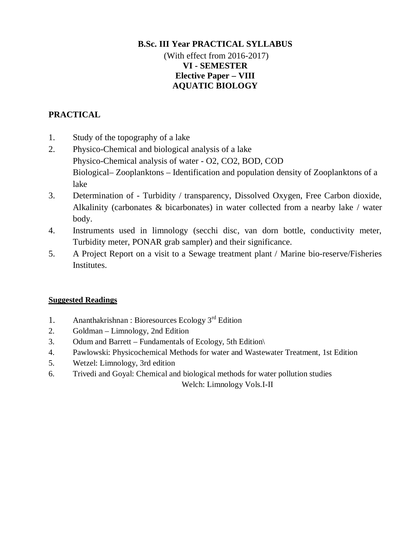## **B.Sc. III Year PRACTICAL SYLLABUS**  (With effect from 2016-2017) **VI - SEMESTER Elective Paper – VIII AQUATIC BIOLOGY**

# **PRACTICAL**

- 1. Study of the topography of a lake
- 2. Physico-Chemical and biological analysis of a lake Physico-Chemical analysis of water - O2, CO2, BOD, COD Biological– Zooplanktons – Identification and population density of Zooplanktons of a lake
- 3. Determination of Turbidity / transparency, Dissolved Oxygen, Free Carbon dioxide, Alkalinity (carbonates & bicarbonates) in water collected from a nearby lake / water body.
- 4. Instruments used in limnology (secchi disc, van dorn bottle, conductivity meter, Turbidity meter, PONAR grab sampler) and their significance.
- 5. A Project Report on a visit to a Sewage treatment plant / Marine bio-reserve/Fisheries Institutes.

## **Suggested Readings**

- 1. Ananthakrishnan : Bioresources Ecology  $3<sup>rd</sup>$  Edition
- 2. Goldman Limnology, 2nd Edition
- 3. Odum and Barrett Fundamentals of Ecology, 5th Edition\
- 4. Pawlowski: Physicochemical Methods for water and Wastewater Treatment, 1st Edition
- 5. Wetzel: Limnology, 3rd edition
- 6. Trivedi and Goyal: Chemical and biological methods for water pollution studies

Welch: Limnology Vols.I-II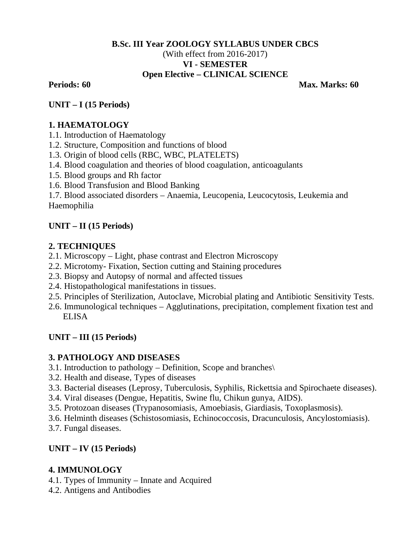## **B.Sc. III Year ZOOLOGY SYLLABUS UNDER CBCS** (With effect from 2016-2017) **VI - SEMESTER Open Elective – CLINICAL SCIENCE**

**Periods: 60 Max. Marks: 60 Max. Marks: 60 Max. Marks: 60 Max. Marks: 60 Max. Marks: 60 Max. Marks: 60 Max. Marks: 60** 

**UNIT – I (15 Periods)**

## **1. HAEMATOLOGY**

- 1.1. Introduction of Haematology
- 1.2. Structure, Composition and functions of blood
- 1.3. Origin of blood cells (RBC, WBC, PLATELETS)
- 1.4. Blood coagulation and theories of blood coagulation, anticoagulants
- 1.5. Blood groups and Rh factor
- 1.6. Blood Transfusion and Blood Banking

1.7. Blood associated disorders – Anaemia, Leucopenia, Leucocytosis, Leukemia and Haemophilia

# **UNIT – II (15 Periods)**

# **2. TECHNIQUES**

- 2.1. Microscopy Light, phase contrast and Electron Microscopy
- 2.2. Microtomy- Fixation, Section cutting and Staining procedures
- 2.3. Biopsy and Autopsy of normal and affected tissues
- 2.4. Histopathological manifestations in tissues.
- 2.5. Principles of Sterilization, Autoclave, Microbial plating and Antibiotic Sensitivity Tests.
- 2.6. Immunological techniques Agglutinations, precipitation, complement fixation test and ELISA

# **UNIT – III (15 Periods)**

# **3. PATHOLOGY AND DISEASES**

- 3.1. Introduction to pathology Definition, Scope and branches\
- 3.2. Health and disease, Types of diseases
- 3.3. Bacterial diseases (Leprosy, Tuberculosis, Syphilis, Rickettsia and Spirochaete diseases).
- 3.4. Viral diseases (Dengue, Hepatitis, Swine flu, Chikun gunya, AIDS).
- 3.5. Protozoan diseases (Trypanosomiasis, Amoebiasis, Giardiasis, Toxoplasmosis).
- 3.6. Helminth diseases (Schistosomiasis, Echinococcosis, Dracunculosis, Ancylostomiasis).
- 3.7. Fungal diseases.

## **UNIT – IV (15 Periods)**

## **4. IMMUNOLOGY**

- 4.1. Types of Immunity Innate and Acquired
- 4.2. Antigens and Antibodies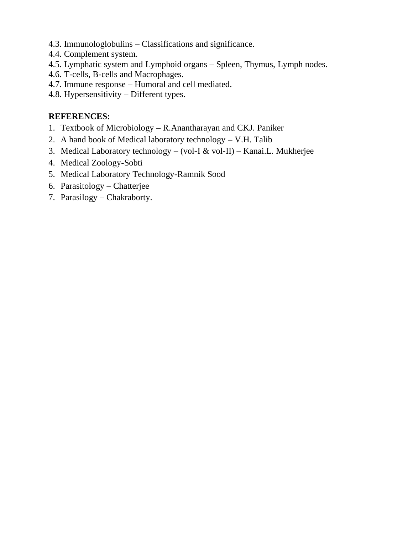- 4.3. Immunologlobulins Classifications and significance.
- 4.4. Complement system.
- 4.5. Lymphatic system and Lymphoid organs Spleen, Thymus, Lymph nodes.
- 4.6. T-cells, B-cells and Macrophages.
- 4.7. Immune response Humoral and cell mediated.
- 4.8. Hypersensitivity Different types.

# **REFERENCES:**

- 1. Textbook of Microbiology R.Anantharayan and CKJ. Paniker
- 2. A hand book of Medical laboratory technology V.H. Talib
- 3. Medical Laboratory technology (vol-I & vol-II) Kanai.L. Mukherjee
- 4. Medical Zoology-Sobti
- 5. Medical Laboratory Technology-Ramnik Sood
- 6. Parasitology Chatterjee
- 7. Parasilogy Chakraborty.